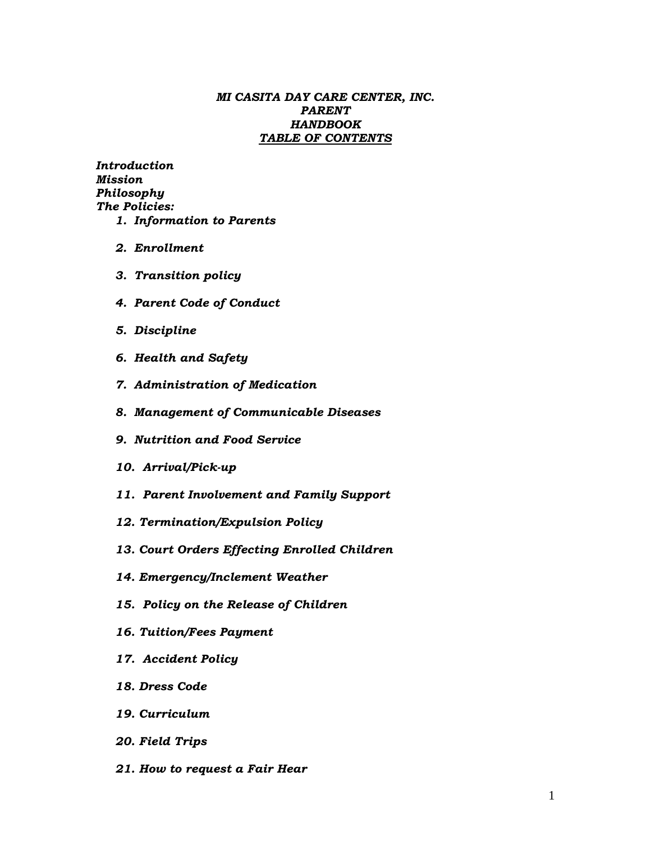#### *MI CASITA DAY CARE CENTER, INC. PARENT HANDBOOK TABLE OF CONTENTS*

*Introduction Mission Philosophy The Policies: 1. Information to Parents*

- *2. Enrollment*
- *3. Transition policy*
- *4. Parent Code of Conduct*
- *5. Discipline*
- *6. Health and Safety*
- *7. Administration of Medication*
- *8. Management of Communicable Diseases*
- *9. Nutrition and Food Service*
- *10. Arrival/Pick-up*
- *11. Parent Involvement and Family Support*
- *12. Termination/Expulsion Policy*
- *13. Court Orders Effecting Enrolled Children*
- *14. Emergency/Inclement Weather*
- *15. Policy on the Release of Children*
- *16. Tuition/Fees Payment*
- *17. Accident Policy*
- *18. Dress Code*
- *19. Curriculum*
- *20. Field Trips*
- *21. How to request a Fair Hear*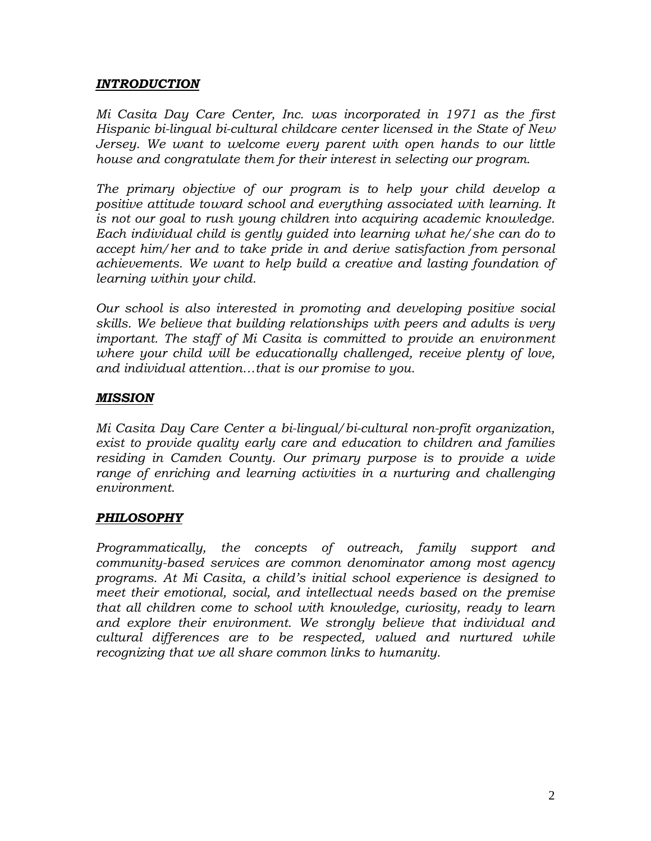### *INTRODUCTION*

*Mi Casita Day Care Center, Inc. was incorporated in 1971 as the first Hispanic bi-lingual bi-cultural childcare center licensed in the State of New Jersey. We want to welcome every parent with open hands to our little house and congratulate them for their interest in selecting our program.* 

*The primary objective of our program is to help your child develop a positive attitude toward school and everything associated with learning. It is not our goal to rush young children into acquiring academic knowledge. Each individual child is gently guided into learning what he/she can do to accept him/her and to take pride in and derive satisfaction from personal achievements. We want to help build a creative and lasting foundation of learning within your child.*

*Our school is also interested in promoting and developing positive social skills. We believe that building relationships with peers and adults is very important. The staff of Mi Casita is committed to provide an environment where your child will be educationally challenged, receive plenty of love, and individual attention…that is our promise to you.*

### *MISSION*

*Mi Casita Day Care Center a bi-lingual/bi-cultural non-profit organization, exist to provide quality early care and education to children and families residing in Camden County. Our primary purpose is to provide a wide range of enriching and learning activities in a nurturing and challenging environment.*

## *PHILOSOPHY*

*Programmatically, the concepts of outreach, family support and community-based services are common denominator among most agency programs. At Mi Casita, a child's initial school experience is designed to meet their emotional, social, and intellectual needs based on the premise that all children come to school with knowledge, curiosity, ready to learn and explore their environment. We strongly believe that individual and cultural differences are to be respected, valued and nurtured while recognizing that we all share common links to humanity.*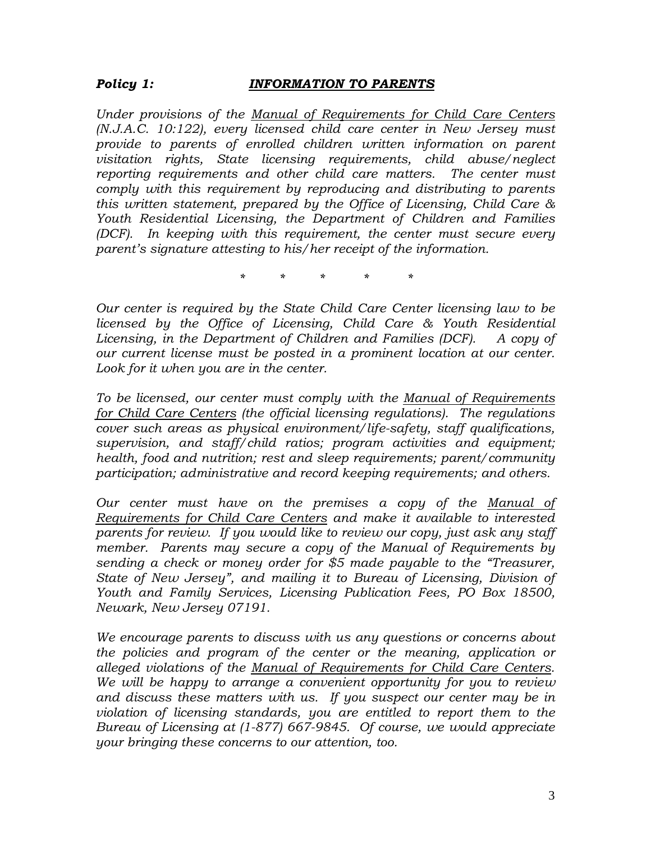### *Policy 1: INFORMATION TO PARENTS*

*Under provisions of the Manual of Requirements for Child Care Centers (N.J.A.C. 10:122), every licensed child care center in New Jersey must provide to parents of enrolled children written information on parent visitation rights, State licensing requirements, child abuse/neglect reporting requirements and other child care matters. The center must comply with this requirement by reproducing and distributing to parents this written statement, prepared by the Office of Licensing, Child Care & Youth Residential Licensing, the Department of Children and Families (DCF). In keeping with this requirement, the center must secure every parent's signature attesting to his/her receipt of the information.* 

*\* \* \* \* \**

*Our center is required by the State Child Care Center licensing law to be licensed by the Office of Licensing, Child Care & Youth Residential Licensing, in the Department of Children and Families (DCF). A copy of our current license must be posted in a prominent location at our center. Look for it when you are in the center.*

*To be licensed, our center must comply with the Manual of Requirements for Child Care Centers (the official licensing regulations). The regulations cover such areas as physical environment/life-safety, staff qualifications, supervision, and staff/child ratios; program activities and equipment; health, food and nutrition; rest and sleep requirements; parent/community participation; administrative and record keeping requirements; and others.*

*Our center must have on the premises a copy of the Manual of Requirements for Child Care Centers and make it available to interested parents for review. If you would like to review our copy, just ask any staff member. Parents may secure a copy of the Manual of Requirements by sending a check or money order for \$5 made payable to the "Treasurer, State of New Jersey", and mailing it to Bureau of Licensing, Division of Youth and Family Services, Licensing Publication Fees, PO Box 18500, Newark, New Jersey 07191.*

*We encourage parents to discuss with us any questions or concerns about the policies and program of the center or the meaning, application or alleged violations of the Manual of Requirements for Child Care Centers. We will be happy to arrange a convenient opportunity for you to review and discuss these matters with us. If you suspect our center may be in violation of licensing standards, you are entitled to report them to the Bureau of Licensing at (1-877) 667-9845. Of course, we would appreciate your bringing these concerns to our attention, too.*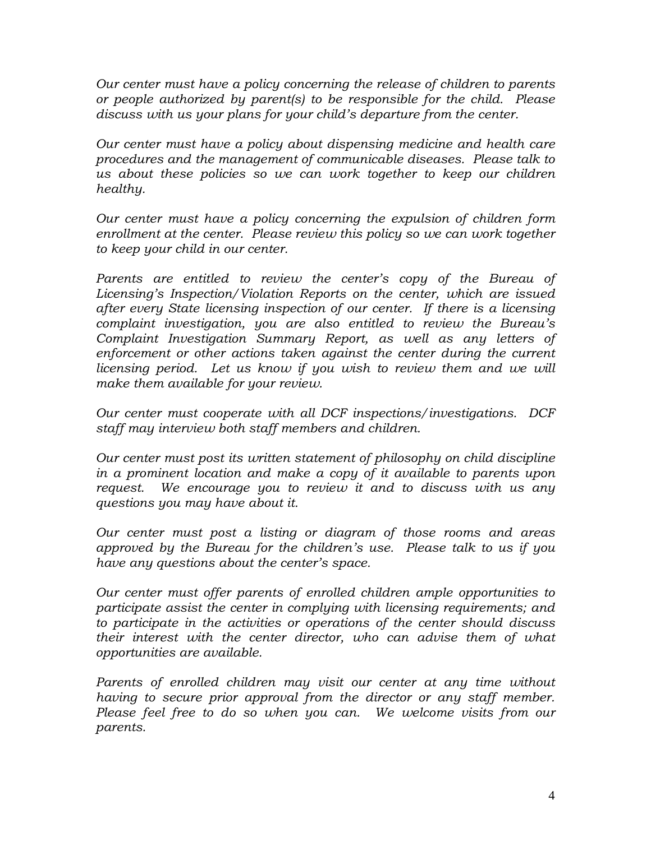*Our center must have a policy concerning the release of children to parents or people authorized by parent(s) to be responsible for the child. Please discuss with us your plans for your child's departure from the center.*

*Our center must have a policy about dispensing medicine and health care procedures and the management of communicable diseases. Please talk to us about these policies so we can work together to keep our children healthy.*

*Our center must have a policy concerning the expulsion of children form enrollment at the center. Please review this policy so we can work together to keep your child in our center.*

Parents are entitled to review the center's copy of the Bureau of *Licensing's Inspection/Violation Reports on the center, which are issued after every State licensing inspection of our center. If there is a licensing complaint investigation, you are also entitled to review the Bureau's Complaint Investigation Summary Report, as well as any letters of enforcement or other actions taken against the center during the current licensing period. Let us know if you wish to review them and we will make them available for your review.*

*Our center must cooperate with all DCF inspections/investigations. DCF staff may interview both staff members and children.*

*Our center must post its written statement of philosophy on child discipline in a prominent location and make a copy of it available to parents upon request. We encourage you to review it and to discuss with us any questions you may have about it.*

*Our center must post a listing or diagram of those rooms and areas approved by the Bureau for the children's use. Please talk to us if you have any questions about the center's space.*

*Our center must offer parents of enrolled children ample opportunities to participate assist the center in complying with licensing requirements; and to participate in the activities or operations of the center should discuss their interest with the center director, who can advise them of what opportunities are available.*

*Parents of enrolled children may visit our center at any time without having to secure prior approval from the director or any staff member. Please feel free to do so when you can. We welcome visits from our parents.*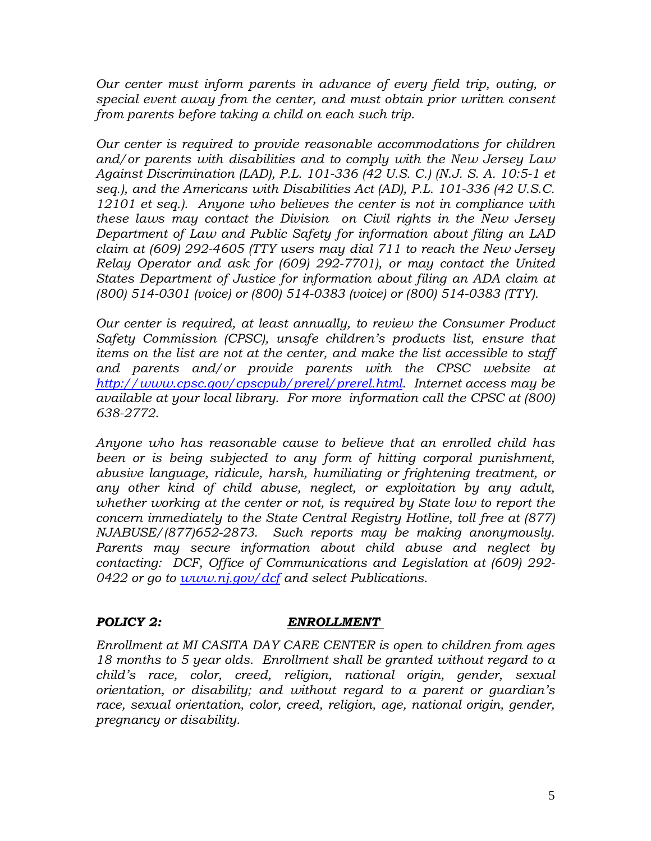*Our center must inform parents in advance of every field trip, outing, or special event away from the center, and must obtain prior written consent from parents before taking a child on each such trip.*

*Our center is required to provide reasonable accommodations for children and/or parents with disabilities and to comply with the New Jersey Law Against Discrimination (LAD), P.L. 101-336 (42 U.S. C.) (N.J. S. A. 10:5-1 et seq.), and the Americans with Disabilities Act (AD), P.L. 101-336 (42 U.S.C. 12101 et seq.). Anyone who believes the center is not in compliance with these laws may contact the Division on Civil rights in the New Jersey Department of Law and Public Safety for information about filing an LAD claim at (609) 292-4605 (TTY users may dial 711 to reach the New Jersey Relay Operator and ask for (609) 292-7701), or may contact the United States Department of Justice for information about filing an ADA claim at (800) 514-0301 (voice) or (800) 514-0383 (voice) or (800) 514-0383 (TTY).*

*Our center is required, at least annually, to review the Consumer Product Safety Commission (CPSC), unsafe children's products list, ensure that items on the list are not at the center, and make the list accessible to staff and parents and/or provide parents with the CPSC website at [http://www.cpsc.gov/cpscpub/prerel/prerel.html.](http://www.cpsc.gov/cpscpub/prerel/prerel.html) Internet access may be available at your local library. For more information call the CPSC at (800) 638-2772.*

*Anyone who has reasonable cause to believe that an enrolled child has been or is being subjected to any form of hitting corporal punishment, abusive language, ridicule, harsh, humiliating or frightening treatment, or any other kind of child abuse, neglect, or exploitation by any adult, whether working at the center or not, is required by State low to report the concern immediately to the State Central Registry Hotline, toll free at (877) NJABUSE/(877)652-2873. Such reports may be making anonymously. Parents may secure information about child abuse and neglect by contacting: DCF, Office of Communications and Legislation at (609) 292- 0422 or go to [www.nj.gov/dcf](http://www.nj.gov/dcf) and select Publications.*

### *POLICY 2: ENROLLMENT*

*Enrollment at MI CASITA DAY CARE CENTER is open to children from ages 18 months to 5 year olds. Enrollment shall be granted without regard to a child's race, color, creed, religion, national origin, gender, sexual orientation, or disability; and without regard to a parent or guardian's race, sexual orientation, color, creed, religion, age, national origin, gender, pregnancy or disability.*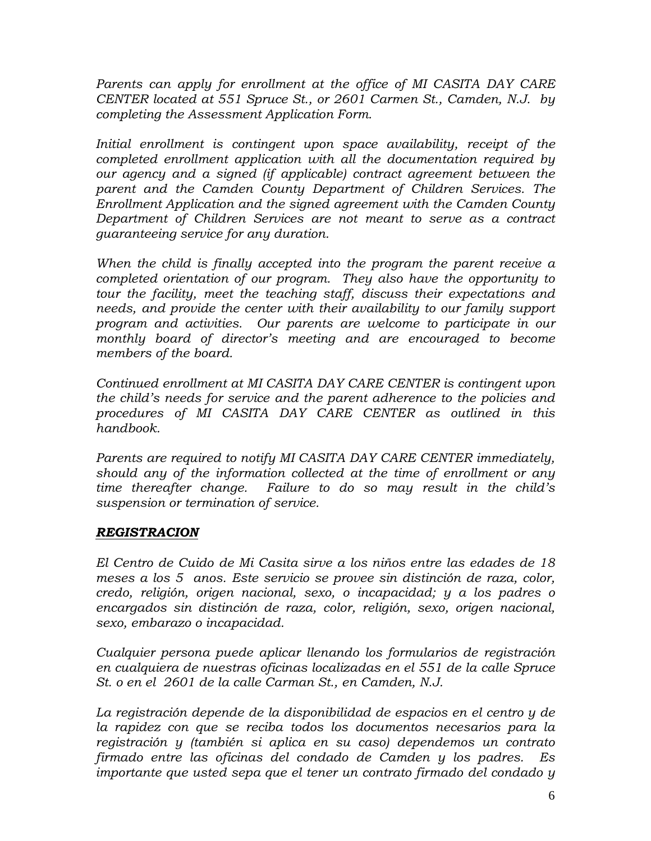*Parents can apply for enrollment at the office of MI CASITA DAY CARE CENTER located at 551 Spruce St., or 2601 Carmen St., Camden, N.J. by completing the Assessment Application Form.* 

*Initial enrollment is contingent upon space availability, receipt of the completed enrollment application with all the documentation required by our agency and a signed (if applicable) contract agreement between the parent and the Camden County Department of Children Services. The Enrollment Application and the signed agreement with the Camden County Department of Children Services are not meant to serve as a contract guaranteeing service for any duration.* 

*When the child is finally accepted into the program the parent receive a completed orientation of our program. They also have the opportunity to tour the facility, meet the teaching staff, discuss their expectations and needs, and provide the center with their availability to our family support program and activities. Our parents are welcome to participate in our monthly board of director's meeting and are encouraged to become members of the board.*

*Continued enrollment at MI CASITA DAY CARE CENTER is contingent upon the child's needs for service and the parent adherence to the policies and procedures of MI CASITA DAY CARE CENTER as outlined in this handbook.*

*Parents are required to notify MI CASITA DAY CARE CENTER immediately, should any of the information collected at the time of enrollment or any time thereafter change. Failure to do so may result in the child's suspension or termination of service.*

## *REGISTRACION*

*El Centro de Cuido de Mi Casita sirve a los niños entre las edades de 18 meses a los 5 anos. Este servicio se provee sin distinción de raza, color, credo, religión, origen nacional, sexo, o incapacidad; y a los padres o encargados sin distinción de raza, color, religión, sexo, origen nacional, sexo, embarazo o incapacidad.*

*Cualquier persona puede aplicar llenando los formularios de registración en cualquiera de nuestras oficinas localizadas en el 551 de la calle Spruce St. o en el 2601 de la calle Carman St., en Camden, N.J.*

*La registración depende de la disponibilidad de espacios en el centro y de la rapidez con que se reciba todos los documentos necesarios para la registración y (también si aplica en su caso) dependemos un contrato firmado entre las oficinas del condado de Camden y los padres. Es importante que usted sepa que el tener un contrato firmado del condado y*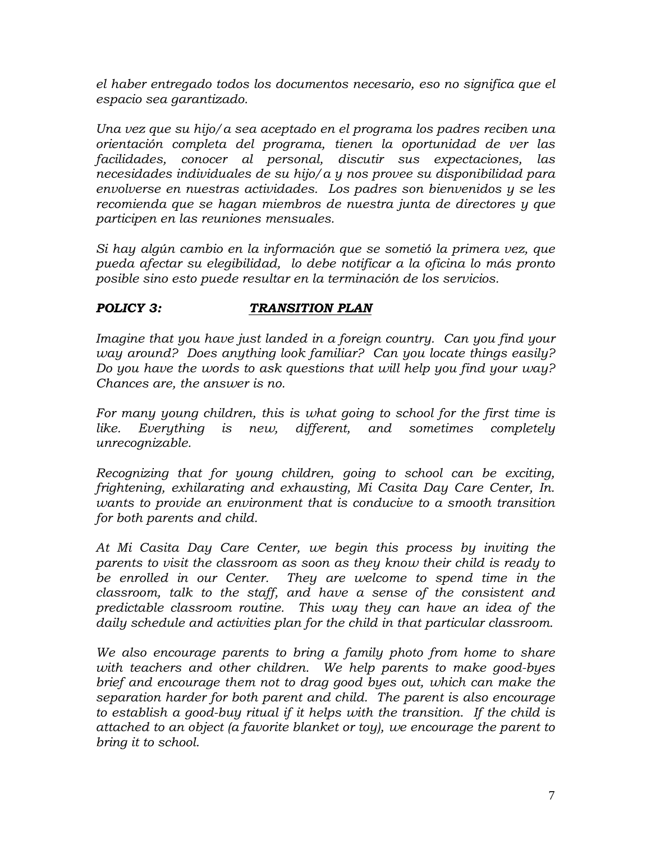*el haber entregado todos los documentos necesario, eso no significa que el espacio sea garantizado.*

*Una vez que su hijo/a sea aceptado en el programa los padres reciben una orientación completa del programa, tienen la oportunidad de ver las facilidades, conocer al personal, discutir sus expectaciones, las necesidades individuales de su hijo/a y nos provee su disponibilidad para envolverse en nuestras actividades. Los padres son bienvenidos y se les recomienda que se hagan miembros de nuestra junta de directores y que participen en las reuniones mensuales.*

*Si hay algún cambio en la información que se sometió la primera vez, que pueda afectar su elegibilidad, lo debe notificar a la oficina lo más pronto posible sino esto puede resultar en la terminación de los servicios.*

# *POLICY 3: TRANSITION PLAN*

*Imagine that you have just landed in a foreign country. Can you find your way around? Does anything look familiar? Can you locate things easily? Do you have the words to ask questions that will help you find your way? Chances are, the answer is no.*

*For many young children, this is what going to school for the first time is like. Everything is new, different, and sometimes completely unrecognizable.* 

*Recognizing that for young children, going to school can be exciting, frightening, exhilarating and exhausting, Mi Casita Day Care Center, In. wants to provide an environment that is conducive to a smooth transition for both parents and child.* 

*At Mi Casita Day Care Center, we begin this process by inviting the parents to visit the classroom as soon as they know their child is ready to be enrolled in our Center. They are welcome to spend time in the classroom, talk to the staff, and have a sense of the consistent and predictable classroom routine. This way they can have an idea of the daily schedule and activities plan for the child in that particular classroom.*

*We also encourage parents to bring a family photo from home to share with teachers and other children. We help parents to make good-byes brief and encourage them not to drag good byes out, which can make the separation harder for both parent and child. The parent is also encourage to establish a good-buy ritual if it helps with the transition. If the child is attached to an object (a favorite blanket or toy), we encourage the parent to bring it to school.*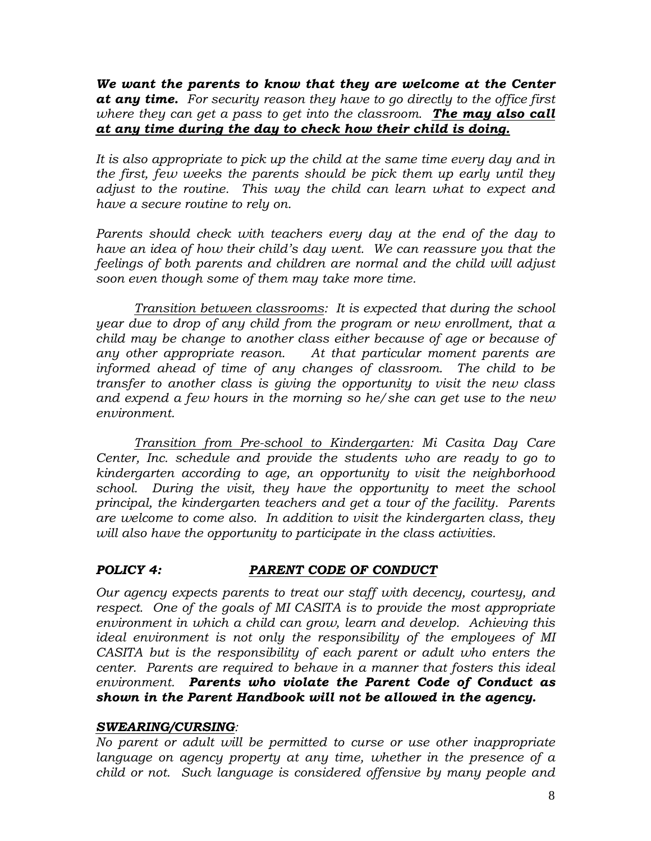*We want the parents to know that they are welcome at the Center at any time. For security reason they have to go directly to the office first where they can get a pass to get into the classroom. The may also call at any time during the day to check how their child is doing.* 

*It is also appropriate to pick up the child at the same time every day and in the first, few weeks the parents should be pick them up early until they adjust to the routine. This way the child can learn what to expect and have a secure routine to rely on.*

*Parents should check with teachers every day at the end of the day to have an idea of how their child's day went. We can reassure you that the feelings of both parents and children are normal and the child will adjust soon even though some of them may take more time.*

*Transition between classrooms: It is expected that during the school year due to drop of any child from the program or new enrollment, that a child may be change to another class either because of age or because of any other appropriate reason. At that particular moment parents are informed ahead of time of any changes of classroom. The child to be transfer to another class is giving the opportunity to visit the new class and expend a few hours in the morning so he/she can get use to the new environment.* 

*Transition from Pre-school to Kindergarten: Mi Casita Day Care Center, Inc. schedule and provide the students who are ready to go to kindergarten according to age, an opportunity to visit the neighborhood school. During the visit, they have the opportunity to meet the school principal, the kindergarten teachers and get a tour of the facility. Parents are welcome to come also. In addition to visit the kindergarten class, they will also have the opportunity to participate in the class activities.*

## *POLICY 4: PARENT CODE OF CONDUCT*

*Our agency expects parents to treat our staff with decency, courtesy, and respect. One of the goals of MI CASITA is to provide the most appropriate environment in which a child can grow, learn and develop. Achieving this ideal environment is not only the responsibility of the employees of MI CASITA but is the responsibility of each parent or adult who enters the center. Parents are required to behave in a manner that fosters this ideal environment. Parents who violate the Parent Code of Conduct as shown in the Parent Handbook will not be allowed in the agency.*

### *SWEARING/CURSING:*

*No parent or adult will be permitted to curse or use other inappropriate language on agency property at any time, whether in the presence of a child or not. Such language is considered offensive by many people and*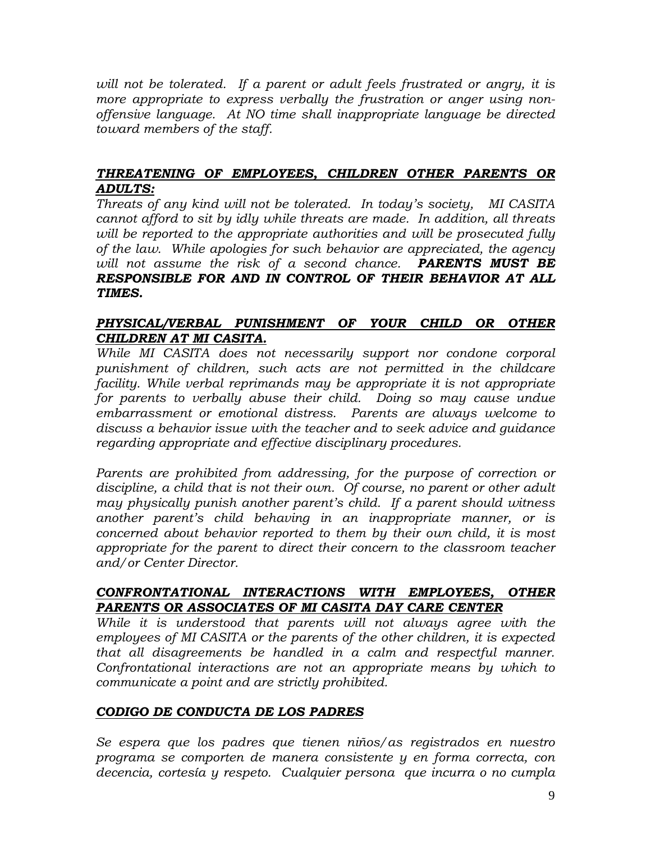*will not be tolerated. If a parent or adult feels frustrated or angry, it is more appropriate to express verbally the frustration or anger using nonoffensive language. At NO time shall inappropriate language be directed toward members of the staff.* 

## *THREATENING OF EMPLOYEES, CHILDREN OTHER PARENTS OR ADULTS:*

*Threats of any kind will not be tolerated. In today's society, MI CASITA cannot afford to sit by idly while threats are made. In addition, all threats will be reported to the appropriate authorities and will be prosecuted fully of the law. While apologies for such behavior are appreciated, the agency will not assume the risk of a second chance. PARENTS MUST BE RESPONSIBLE FOR AND IN CONTROL OF THEIR BEHAVIOR AT ALL TIMES.* 

### *PHYSICAL/VERBAL PUNISHMENT OF YOUR CHILD OR OTHER CHILDREN AT MI CASITA.*

*While MI CASITA does not necessarily support nor condone corporal punishment of children, such acts are not permitted in the childcare facility. While verbal reprimands may be appropriate it is not appropriate for parents to verbally abuse their child. Doing so may cause undue embarrassment or emotional distress. Parents are always welcome to discuss a behavior issue with the teacher and to seek advice and guidance regarding appropriate and effective disciplinary procedures.* 

Parents are prohibited from addressing, for the purpose of correction or *discipline, a child that is not their own. Of course, no parent or other adult may physically punish another parent's child. If a parent should witness another parent's child behaving in an inappropriate manner, or is concerned about behavior reported to them by their own child, it is most appropriate for the parent to direct their concern to the classroom teacher and/or Center Director.*

## *CONFRONTATIONAL INTERACTIONS WITH EMPLOYEES, OTHER PARENTS OR ASSOCIATES OF MI CASITA DAY CARE CENTER*

*While it is understood that parents will not always agree with the employees of MI CASITA or the parents of the other children, it is expected that all disagreements be handled in a calm and respectful manner. Confrontational interactions are not an appropriate means by which to communicate a point and are strictly prohibited.*

## *CODIGO DE CONDUCTA DE LOS PADRES*

*Se espera que los padres que tienen niños/as registrados en nuestro programa se comporten de manera consistente y en forma correcta, con decencia, cortesía y respeto. Cualquier persona que incurra o no cumpla*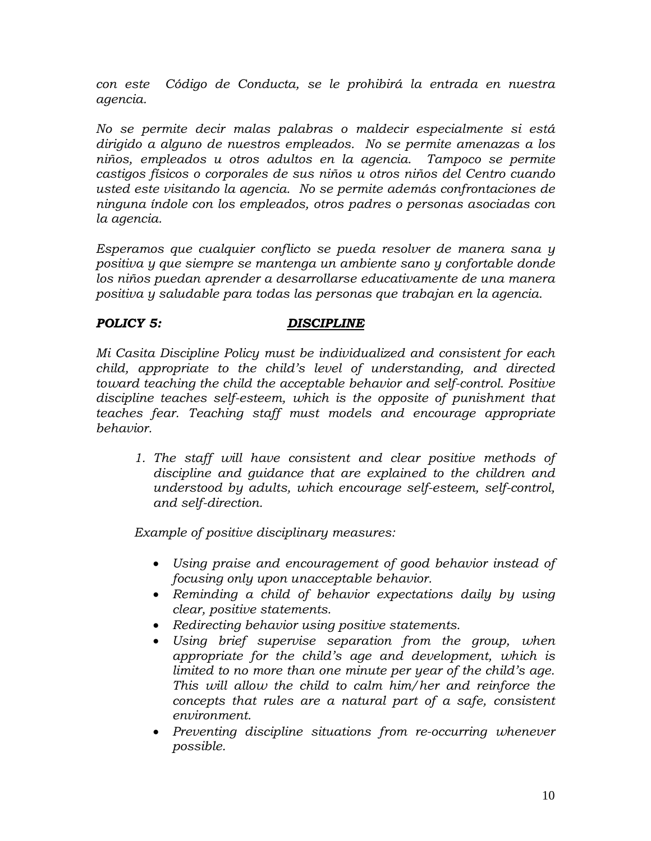*con este Código de Conducta, se le prohibirá la entrada en nuestra agencia.*

*No se permite decir malas palabras o maldecir especialmente si está dirigido a alguno de nuestros empleados. No se permite amenazas a los niños, empleados u otros adultos en la agencia. Tampoco se permite castigos físicos o corporales de sus niños u otros niños del Centro cuando usted este visitando la agencia. No se permite además confrontaciones de ninguna índole con los empleados, otros padres o personas asociadas con la agencia.*

*Esperamos que cualquier conflicto se pueda resolver de manera sana y positiva y que siempre se mantenga un ambiente sano y confortable donde los niños puedan aprender a desarrollarse educativamente de una manera positiva y saludable para todas las personas que trabajan en la agencia.*

### *POLICY 5: DISCIPLINE*

*Mi Casita Discipline Policy must be individualized and consistent for each child, appropriate to the child's level of understanding, and directed toward teaching the child the acceptable behavior and self-control. Positive discipline teaches self-esteem, which is the opposite of punishment that teaches fear. Teaching staff must models and encourage appropriate behavior.*

*1. The staff will have consistent and clear positive methods of discipline and guidance that are explained to the children and understood by adults, which encourage self-esteem, self-control, and self-direction.*

*Example of positive disciplinary measures:*

- *Using praise and encouragement of good behavior instead of focusing only upon unacceptable behavior.*
- *Reminding a child of behavior expectations daily by using clear, positive statements.*
- *Redirecting behavior using positive statements.*
- *Using brief supervise separation from the group, when appropriate for the child's age and development, which is limited to no more than one minute per year of the child's age. This will allow the child to calm him/her and reinforce the concepts that rules are a natural part of a safe, consistent environment.*
- *Preventing discipline situations from re-occurring whenever possible.*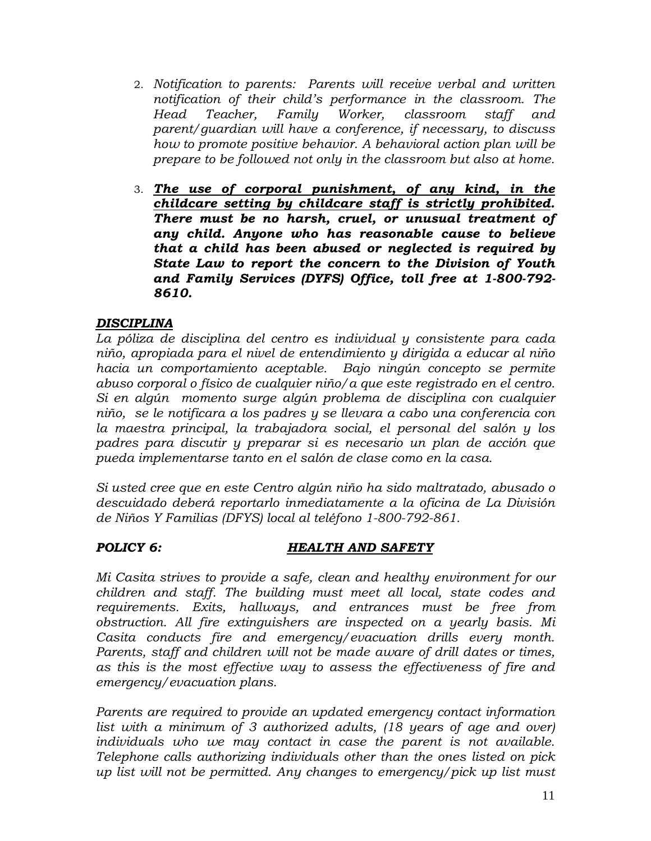- 2. *Notification to parents: Parents will receive verbal and written notification of their child's performance in the classroom. The Head Teacher, Family Worker, classroom staff and parent/guardian will have a conference, if necessary, to discuss how to promote positive behavior. A behavioral action plan will be prepare to be followed not only in the classroom but also at home.*
- 3. *The use of corporal punishment, of any kind, in the childcare setting by childcare staff is strictly prohibited. There must be no harsh, cruel, or unusual treatment of any child. Anyone who has reasonable cause to believe that a child has been abused or neglected is required by State Law to report the concern to the Division of Youth and Family Services (DYFS) Office, toll free at 1-800-792- 8610.*

## *DISCIPLINA*

*La póliza de disciplina del centro es individual y consistente para cada niño, apropiada para el nivel de entendimiento y dirigida a educar al niño hacia un comportamiento aceptable. Bajo ningún concepto se permite abuso corporal o físico de cualquier niño/a que este registrado en el centro. Si en algún momento surge algún problema de disciplina con cualquier niño, se le notificara a los padres y se llevara a cabo una conferencia con la maestra principal, la trabajadora social, el personal del salón y los padres para discutir y preparar si es necesario un plan de acción que pueda implementarse tanto en el salón de clase como en la casa.* 

*Si usted cree que en este Centro algún niño ha sido maltratado, abusado o descuidado deberá reportarlo inmediatamente a la oficina de La División de Niños Y Familias (DFYS) local al teléfono 1-800-792-861.*

### *POLICY 6: HEALTH AND SAFETY*

*Mi Casita strives to provide a safe, clean and healthy environment for our children and staff. The building must meet all local, state codes and requirements. Exits, hallways, and entrances must be free from obstruction. All fire extinguishers are inspected on a yearly basis. Mi Casita conducts fire and emergency/evacuation drills every month. Parents, staff and children will not be made aware of drill dates or times, as this is the most effective way to assess the effectiveness of fire and emergency/evacuation plans.* 

*Parents are required to provide an updated emergency contact information list with a minimum of 3 authorized adults, (18 years of age and over) individuals who we may contact in case the parent is not available. Telephone calls authorizing individuals other than the ones listed on pick up list will not be permitted. Any changes to emergency/pick up list must*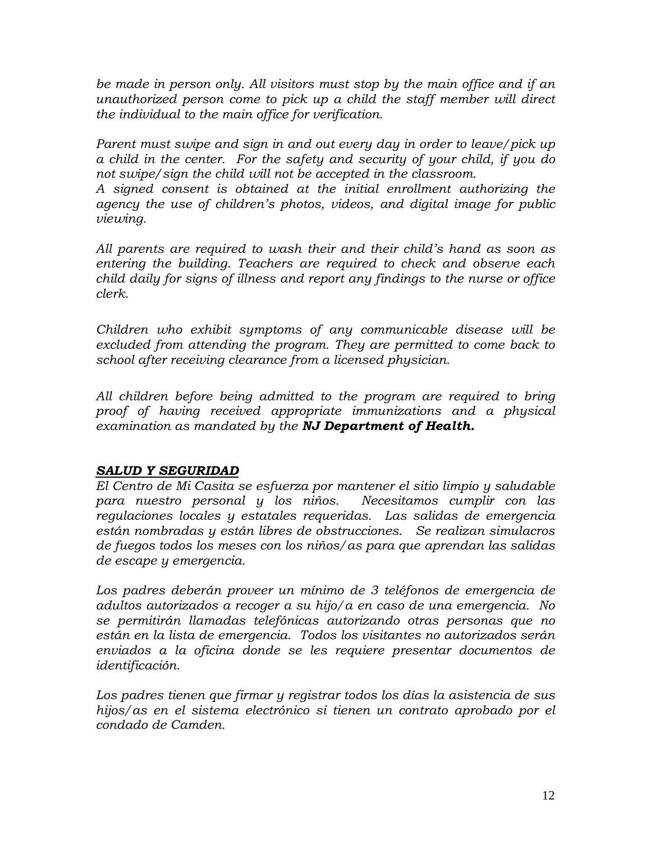*be made in person only. All visitors must stop by the main office and if an unauthorized person come to pick up a child the staff member will direct the individual to the main office for verification.*

*Parent must swipe and sign in and out every day in order to leave/pick up a child in the center. For the safety and security of your child, if you do not swipe/sign the child will not be accepted in the classroom.*

*A signed consent is obtained at the initial enrollment authorizing the agency the use of children's photos, videos, and digital image for public viewing.* 

*All parents are required to wash their and their child's hand as soon as entering the building. Teachers are required to check and observe each child daily for signs of illness and report any findings to the nurse or office clerk.*

*Children who exhibit symptoms of any communicable disease will be excluded from attending the program. They are permitted to come back to school after receiving clearance from a licensed physician.* 

*All children before being admitted to the program are required to bring proof of having received appropriate immunizations and a physical examination as mandated by the NJ Department of Health.*

## *SALUD Y SEGURIDAD*

*El Centro de Mi Casita se esfuerza por mantener el sitio limpio y saludable para nuestro personal y los niños. Necesitamos cumplir con las regulaciones locales y estatales requeridas. Las salidas de emergencia están nombradas y están libres de obstrucciones. Se realizan simulacros de fuegos todos los meses con los niños/as para que aprendan las salidas de escape y emergencia.* 

*Los padres deberán proveer un mínimo de 3 teléfonos de emergencia de adultos autorizados a recoger a su hijo/a en caso de una emergencia. No se permitirán llamadas telefónicas autorizando otras personas que no están en la lista de emergencia. Todos los visitantes no autorizados serán enviados a la oficina donde se les requiere presentar documentos de identificación.*

*Los padres tienen que firmar y registrar todos los días la asistencia de sus hijos/as en el sistema electrónico si tienen un contrato aprobado por el condado de Camden.*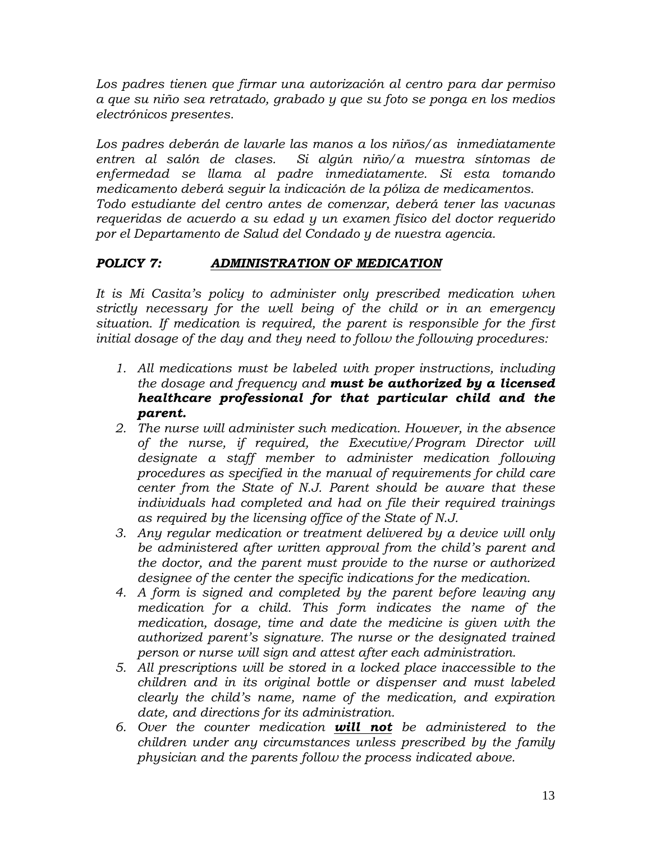*Los padres tienen que firmar una autorización al centro para dar permiso a que su niño sea retratado, grabado y que su foto se ponga en los medios electrónicos presentes.*

*Los padres deberán de lavarle las manos a los niños/as inmediatamente entren al salón de clases. Si algún niño/a muestra síntomas de enfermedad se llama al padre inmediatamente. Si esta tomando medicamento deberá seguir la indicación de la póliza de medicamentos. Todo estudiante del centro antes de comenzar, deberá tener las vacunas requeridas de acuerdo a su edad y un examen físico del doctor requerido por el Departamento de Salud del Condado y de nuestra agencia.*

# *POLICY 7: ADMINISTRATION OF MEDICATION*

*It is Mi Casita's policy to administer only prescribed medication when strictly necessary for the well being of the child or in an emergency situation. If medication is required, the parent is responsible for the first initial dosage of the day and they need to follow the following procedures:*

- *1. All medications must be labeled with proper instructions, including the dosage and frequency and must be authorized by a licensed healthcare professional for that particular child and the parent.*
- *2. The nurse will administer such medication. However, in the absence of the nurse, if required, the Executive/Program Director will designate a staff member to administer medication following procedures as specified in the manual of requirements for child care center from the State of N.J. Parent should be aware that these individuals had completed and had on file their required trainings as required by the licensing office of the State of N.J.*
- *3. Any regular medication or treatment delivered by a device will only be administered after written approval from the child's parent and the doctor, and the parent must provide to the nurse or authorized designee of the center the specific indications for the medication.*
- *4. A form is signed and completed by the parent before leaving any medication for a child. This form indicates the name of the medication, dosage, time and date the medicine is given with the authorized parent's signature. The nurse or the designated trained person or nurse will sign and attest after each administration.*
- *5. All prescriptions will be stored in a locked place inaccessible to the children and in its original bottle or dispenser and must labeled clearly the child's name, name of the medication, and expiration date, and directions for its administration.*
- *6. Over the counter medication will not be administered to the children under any circumstances unless prescribed by the family physician and the parents follow the process indicated above.*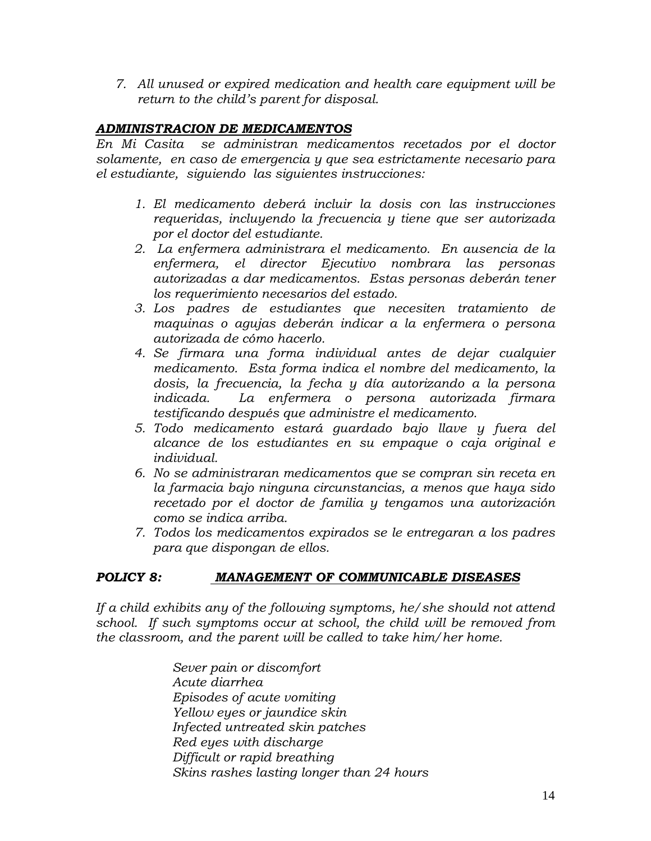*7. All unused or expired medication and health care equipment will be return to the child's parent for disposal.*

## *ADMINISTRACION DE MEDICAMENTOS*

*En Mi Casita se administran medicamentos recetados por el doctor solamente, en caso de emergencia y que sea estrictamente necesario para el estudiante, siguiendo las siguientes instrucciones:*

- *1. El medicamento deberá incluir la dosis con las instrucciones requeridas, incluyendo la frecuencia y tiene que ser autorizada por el doctor del estudiante.*
- *2. La enfermera administrara el medicamento. En ausencia de la enfermera, el director Ejecutivo nombrara las personas autorizadas a dar medicamentos. Estas personas deberán tener los requerimiento necesarios del estado.*
- *3. Los padres de estudiantes que necesiten tratamiento de maquinas o agujas deberán indicar a la enfermera o persona autorizada de cómo hacerlo.*
- *4. Se firmara una forma individual antes de dejar cualquier medicamento. Esta forma indica el nombre del medicamento, la dosis, la frecuencia, la fecha y día autorizando a la persona indicada. La enfermera o persona autorizada firmara testificando después que administre el medicamento.*
- *5. Todo medicamento estará guardado bajo llave y fuera del alcance de los estudiantes en su empaque o caja original e individual.*
- *6. No se administraran medicamentos que se compran sin receta en la farmacia bajo ninguna circunstancias, a menos que haya sido recetado por el doctor de familia y tengamos una autorización como se indica arriba.*
- *7. Todos los medicamentos expirados se le entregaran a los padres para que dispongan de ellos.*

## *POLICY 8: MANAGEMENT OF COMMUNICABLE DISEASES*

*If a child exhibits any of the following symptoms, he/she should not attend school. If such symptoms occur at school, the child will be removed from the classroom, and the parent will be called to take him/her home.*

> *Sever pain or discomfort Acute diarrhea Episodes of acute vomiting Yellow eyes or jaundice skin Infected untreated skin patches Red eyes with discharge Difficult or rapid breathing Skins rashes lasting longer than 24 hours*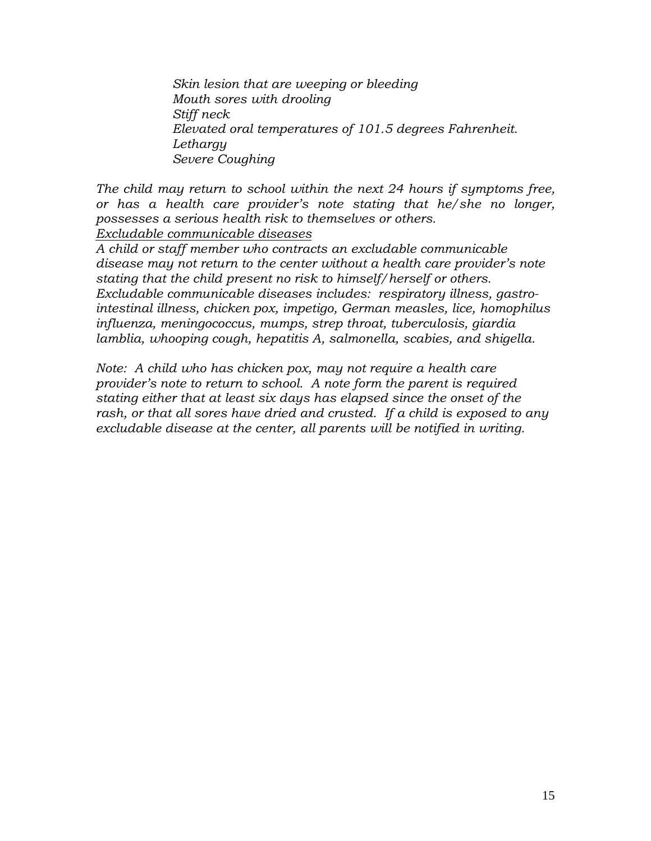*Skin lesion that are weeping or bleeding Mouth sores with drooling Stiff neck Elevated oral temperatures of 101.5 degrees Fahrenheit. Lethargy Severe Coughing*

*The child may return to school within the next 24 hours if symptoms free, or has a health care provider's note stating that he/she no longer, possesses a serious health risk to themselves or others. Excludable communicable diseases*

*A child or staff member who contracts an excludable communicable disease may not return to the center without a health care provider's note stating that the child present no risk to himself/herself or others. Excludable communicable diseases includes: respiratory illness, gastrointestinal illness, chicken pox, impetigo, German measles, lice, homophilus influenza, meningococcus, mumps, strep throat, tuberculosis, giardia lamblia, whooping cough, hepatitis A, salmonella, scabies, and shigella.*

*Note: A child who has chicken pox, may not require a health care provider's note to return to school. A note form the parent is required stating either that at least six days has elapsed since the onset of the*  rash, or that all sores have dried and crusted. If a child is exposed to any *excludable disease at the center, all parents will be notified in writing.*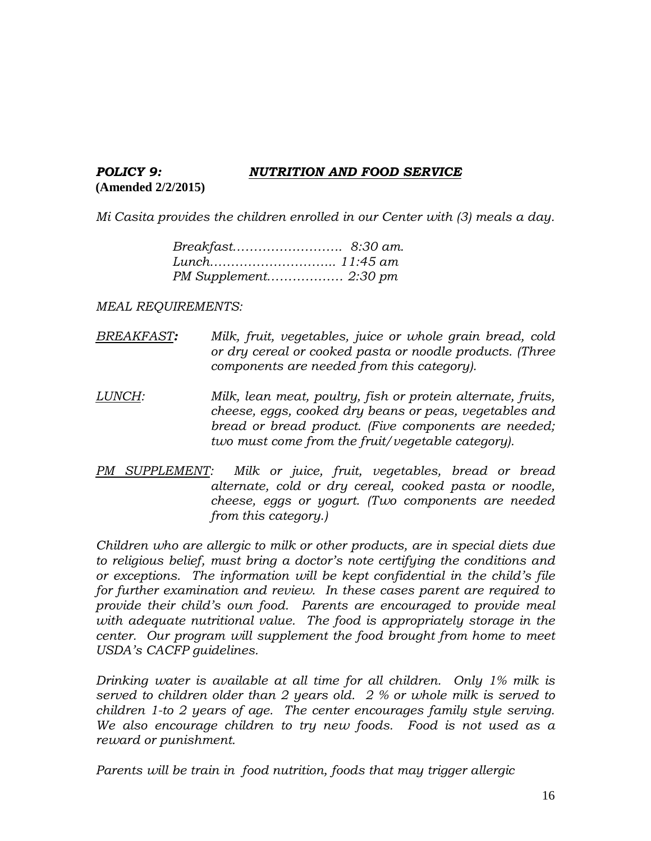### *POLICY 9: NUTRITION AND FOOD SERVICE* **(Amended 2/2/2015)**

*Mi Casita provides the children enrolled in our Center with (3) meals a day.*

*MEAL REQUIREMENTS:*

- *BREAKFAST: Milk, fruit, vegetables, juice or whole grain bread, cold or dry cereal or cooked pasta or noodle products. (Three components are needed from this category).*
- *LUNCH: Milk, lean meat, poultry, fish or protein alternate, fruits, cheese, eggs, cooked dry beans or peas, vegetables and bread or bread product. (Five components are needed; two must come from the fruit/vegetable category).*
- *PM SUPPLEMENT: Milk or juice, fruit, vegetables, bread or bread alternate, cold or dry cereal, cooked pasta or noodle, cheese, eggs or yogurt. (Two components are needed from this category.)*

*Children who are allergic to milk or other products, are in special diets due to religious belief, must bring a doctor's note certifying the conditions and or exceptions. The information will be kept confidential in the child's file for further examination and review. In these cases parent are required to provide their child's own food. Parents are encouraged to provide meal with adequate nutritional value. The food is appropriately storage in the center.* Our program will supplement the food brought from home to meet *USDA's CACFP guidelines.*

*Drinking water is available at all time for all children. Only 1% milk is served to children older than 2 years old. 2 % or whole milk is served to children 1-to 2 years of age. The center encourages family style serving. We also encourage children to try new foods. Food is not used as a reward or punishment.*

*Parents will be train in food nutrition, foods that may trigger allergic*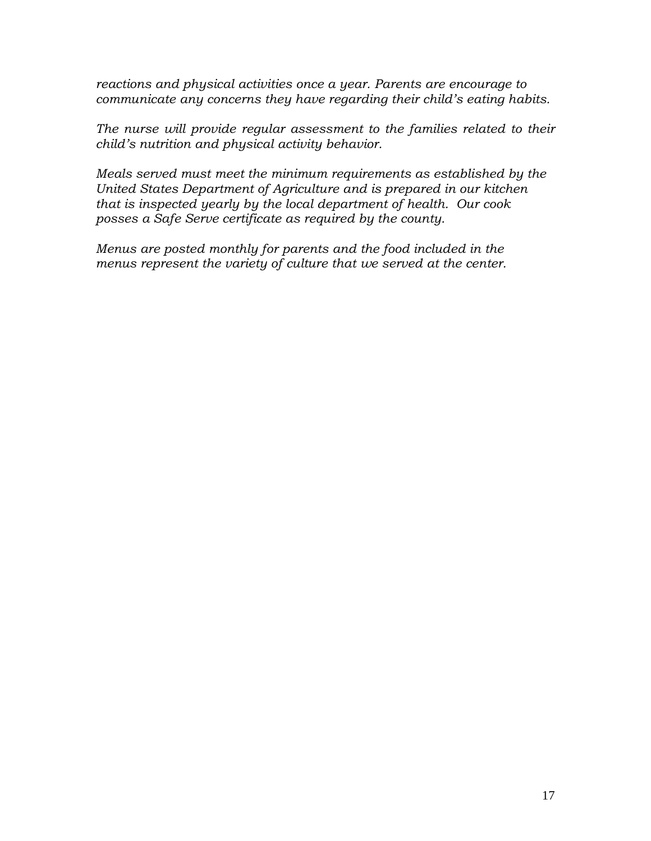*reactions and physical activities once a year. Parents are encourage to communicate any concerns they have regarding their child's eating habits.* 

*The nurse will provide regular assessment to the families related to their child's nutrition and physical activity behavior.*

*Meals served must meet the minimum requirements as established by the United States Department of Agriculture and is prepared in our kitchen that is inspected yearly by the local department of health. Our cook posses a Safe Serve certificate as required by the county.*

*Menus are posted monthly for parents and the food included in the menus represent the variety of culture that we served at the center.*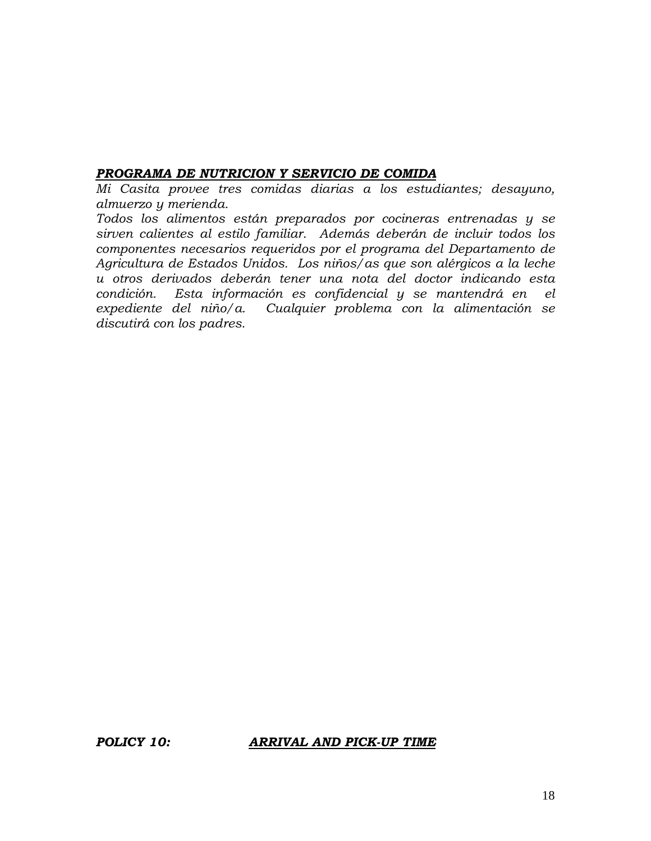#### *PROGRAMA DE NUTRICION Y SERVICIO DE COMIDA*

*Mi Casita provee tres comidas diarias a los estudiantes; desayuno, almuerzo y merienda.*

*Todos los alimentos están preparados por cocineras entrenadas y se sirven calientes al estilo familiar. Además deberán de incluir todos los componentes necesarios requeridos por el programa del Departamento de Agricultura de Estados Unidos. Los niños/as que son alérgicos a la leche u otros derivados deberán tener una nota del doctor indicando esta condición. Esta información es confidencial y se mantendrá en el expediente del niño/a. Cualquier problema con la alimentación se discutirá con los padres.*

### *POLICY 10: ARRIVAL AND PICK-UP TIME*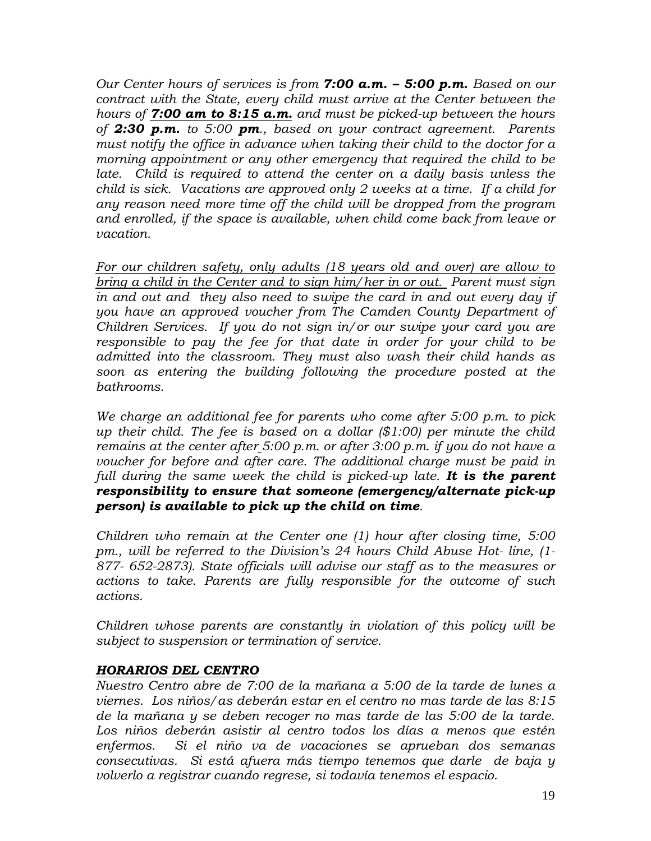*Our Center hours of services is from 7:00 a.m. – 5:00 p.m. Based on our contract with the State, every child must arrive at the Center between the hours of 7:00 am to 8:15 a.m. and must be picked-up between the hours of 2:30 p.m. to 5:00 pm., based on your contract agreement. Parents must notify the office in advance when taking their child to the doctor for a morning appointment or any other emergency that required the child to be*  late. Child is required to attend the center on a daily basis unless the *child is sick. Vacations are approved only 2 weeks at a time. If a child for any reason need more time off the child will be dropped from the program and enrolled, if the space is available, when child come back from leave or vacation.*

*For our children safety, only adults (18 years old and over) are allow to bring a child in the Center and to sign him/her in or out. Parent must sign in and out and they also need to swipe the card in and out every day if you have an approved voucher from The Camden County Department of Children Services. If you do not sign in/or our swipe your card you are responsible to pay the fee for that date in order for your child to be admitted into the classroom. They must also wash their child hands as soon as entering the building following the procedure posted at the bathrooms.* 

*We charge an additional fee for parents who come after 5:00 p.m. to pick up their child. The fee is based on a dollar (\$1:00) per minute the child remains at the center after 5:00 p.m. or after 3:00 p.m. if you do not have a voucher for before and after care. The additional charge must be paid in full during the same week the child is picked-up late. It is the parent responsibility to ensure that someone (emergency/alternate pick-up person) is available to pick up the child on time.*

*Children who remain at the Center one (1) hour after closing time, 5:00 pm., will be referred to the Division's 24 hours Child Abuse Hot- line, (1- 877- 652-2873). State officials will advise our staff as to the measures or actions to take. Parents are fully responsible for the outcome of such actions.*

*Children whose parents are constantly in violation of this policy will be subject to suspension or termination of service.*

## *HORARIOS DEL CENTRO*

*Nuestro Centro abre de 7:00 de la mañana a 5:00 de la tarde de lunes a viernes. Los niños/as deberán estar en el centro no mas tarde de las 8:15 de la mañana y se deben recoger no mas tarde de las 5:00 de la tarde. Los niños deberán asistir al centro todos los días a menos que estén enfermos. Si el niño va de vacaciones se aprueban dos semanas consecutivas. Si está afuera más tiempo tenemos que darle de baja y volverlo a registrar cuando regrese, si todavía tenemos el espacio.*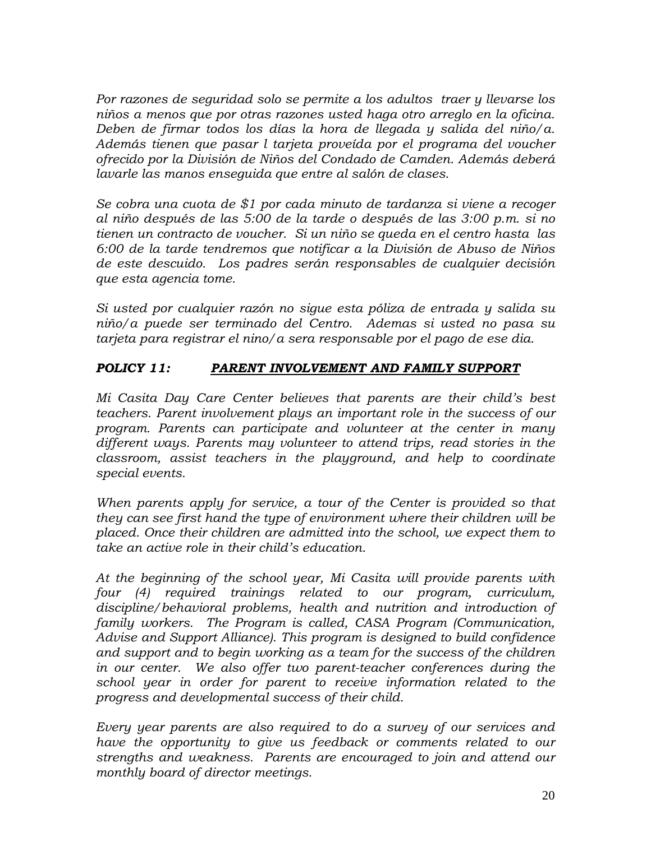*Por razones de seguridad solo se permite a los adultos traer y llevarse los niños a menos que por otras razones usted haga otro arreglo en la oficina. Deben de firmar todos los días la hora de llegada y salida del niño/a. Además tienen que pasar l tarjeta proveída por el programa del voucher ofrecido por la División de Niños del Condado de Camden. Además deberá lavarle las manos enseguida que entre al salón de clases.* 

*Se cobra una cuota de \$1 por cada minuto de tardanza si viene a recoger al niño después de las 5:00 de la tarde o después de las 3:00 p.m. si no tienen un contracto de voucher. Si un niño se queda en el centro hasta las 6:00 de la tarde tendremos que notificar a la División de Abuso de Niños de este descuido. Los padres serán responsables de cualquier decisión que esta agencia tome.*

*Si usted por cualquier razón no sigue esta póliza de entrada y salida su niño/a puede ser terminado del Centro. Ademas si usted no pasa su tarjeta para registrar el nino/a sera responsable por el pago de ese dia.*

# *POLICY 11: PARENT INVOLVEMENT AND FAMILY SUPPORT*

*Mi Casita Day Care Center believes that parents are their child's best teachers. Parent involvement plays an important role in the success of our program. Parents can participate and volunteer at the center in many different ways. Parents may volunteer to attend trips, read stories in the classroom, assist teachers in the playground, and help to coordinate special events.* 

*When parents apply for service, a tour of the Center is provided so that they can see first hand the type of environment where their children will be placed. Once their children are admitted into the school, we expect them to take an active role in their child's education.* 

*At the beginning of the school year, Mi Casita will provide parents with four (4) required trainings related to our program, curriculum, discipline/behavioral problems, health and nutrition and introduction of family workers. The Program is called, CASA Program (Communication, Advise and Support Alliance). This program is designed to build confidence and support and to begin working as a team for the success of the children in our center. We also offer two parent-teacher conferences during the school year in order for parent to receive information related to the progress and developmental success of their child.*

*Every year parents are also required to do a survey of our services and have the opportunity to give us feedback or comments related to our strengths and weakness. Parents are encouraged to join and attend our monthly board of director meetings.*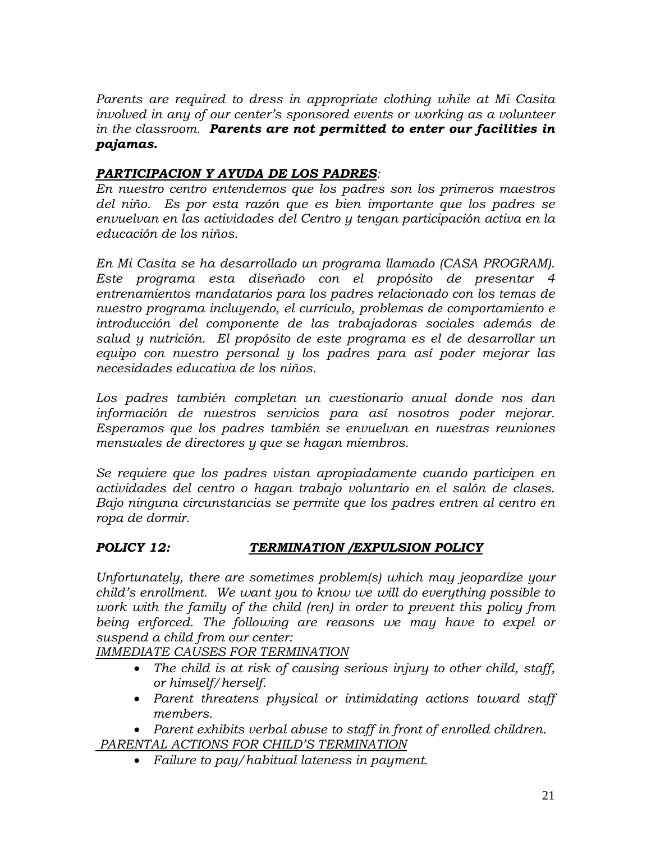*Parents are required to dress in appropriate clothing while at Mi Casita involved in any of our center's sponsored events or working as a volunteer in the classroom. Parents are not permitted to enter our facilities in pajamas.*

## *PARTICIPACION Y AYUDA DE LOS PADRES:*

*En nuestro centro entendemos que los padres son los primeros maestros del niño. Es por esta razón que es bien importante que los padres se envuelvan en las actividades del Centro y tengan participación activa en la educación de los niños.*

*En Mi Casita se ha desarrollado un programa llamado (CASA PROGRAM). Este programa esta diseñado con el propósito de presentar 4 entrenamientos mandatarios para los padres relacionado con los temas de nuestro programa incluyendo, el currículo, problemas de comportamiento e introducción del componente de las trabajadoras sociales además de salud y nutrición. El propósito de este programa es el de desarrollar un equipo con nuestro personal y los padres para así poder mejorar las necesidades educativa de los niños.*

*Los padres también completan un cuestionario anual donde nos dan información de nuestros servicios para así nosotros poder mejorar. Esperamos que los padres también se envuelvan en nuestras reuniones mensuales de directores y que se hagan miembros.*

*Se requiere que los padres vistan apropiadamente cuando participen en actividades del centro o hagan trabajo voluntario en el salón de clases. Bajo ninguna circunstancias se permite que los padres entren al centro en ropa de dormir.*

## *POLICY 12: TERMINATION /EXPULSION POLICY*

*Unfortunately, there are sometimes problem(s) which may jeopardize your child's enrollment. We want you to know we will do everything possible to work with the family of the child (ren) in order to prevent this policy from being enforced. The following are reasons we may have to expel or suspend a child from our center:*

*IMMEDIATE CAUSES FOR TERMINATION*

- *The child is at risk of causing serious injury to other child, staff, or himself/herself.*
- *Parent threatens physical or intimidating actions toward staff members.*

• *Parent exhibits verbal abuse to staff in front of enrolled children. PARENTAL ACTIONS FOR CHILD'S TERMINATION*

• *Failure to pay/habitual lateness in payment.*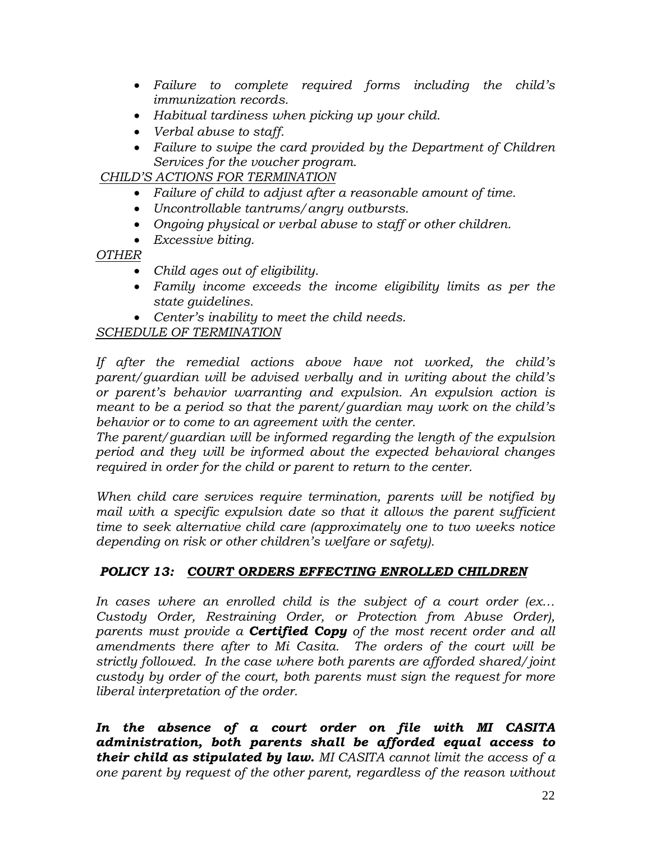- *Failure to complete required forms including the child's immunization records.*
- *Habitual tardiness when picking up your child.*
- *Verbal abuse to staff.*
- *Failure to swipe the card provided by the Department of Children Services for the voucher program.*

*CHILD'S ACTIONS FOR TERMINATION*

- *Failure of child to adjust after a reasonable amount of time.*
- *Uncontrollable tantrums/angry outbursts.*
- *Ongoing physical or verbal abuse to staff or other children.*
- *Excessive biting.*

# *OTHER*

- *Child ages out of eligibility.*
- *Family income exceeds the income eligibility limits as per the state guidelines.*
- *Center's inability to meet the child needs.*

# *SCHEDULE OF TERMINATION*

*If after the remedial actions above have not worked, the child's parent/guardian will be advised verbally and in writing about the child's or parent's behavior warranting and expulsion. An expulsion action is meant to be a period so that the parent/guardian may work on the child's behavior or to come to an agreement with the center.* 

*The parent/guardian will be informed regarding the length of the expulsion period and they will be informed about the expected behavioral changes required in order for the child or parent to return to the center.*

*When child care services require termination, parents will be notified by mail with a specific expulsion date so that it allows the parent sufficient time to seek alternative child care (approximately one to two weeks notice depending on risk or other children's welfare or safety).* 

# *POLICY 13: COURT ORDERS EFFECTING ENROLLED CHILDREN*

*In cases where an enrolled child is the subject of a court order (ex… Custody Order, Restraining Order, or Protection from Abuse Order), parents must provide a Certified Copy of the most recent order and all amendments there after to Mi Casita. The orders of the court will be strictly followed. In the case where both parents are afforded shared/joint custody by order of the court, both parents must sign the request for more liberal interpretation of the order.* 

*In the absence of a court order on file with MI CASITA administration, both parents shall be afforded equal access to their child as stipulated by law. MI CASITA cannot limit the access of a one parent by request of the other parent, regardless of the reason without*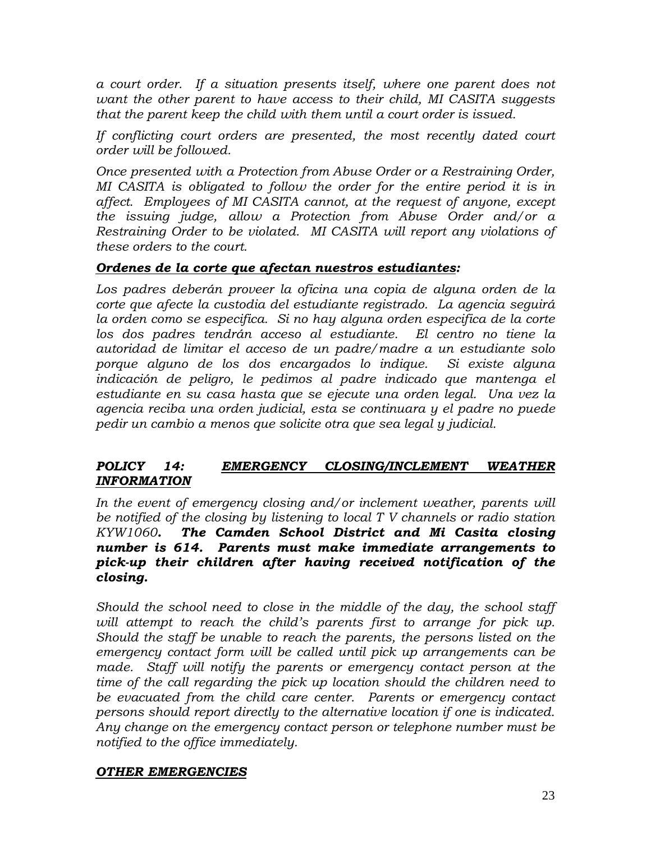*a court order. If a situation presents itself, where one parent does not want the other parent to have access to their child, MI CASITA suggests that the parent keep the child with them until a court order is issued.*

*If conflicting court orders are presented, the most recently dated court order will be followed.* 

*Once presented with a Protection from Abuse Order or a Restraining Order, MI CASITA is obligated to follow the order for the entire period it is in affect. Employees of MI CASITA cannot, at the request of anyone, except the issuing judge, allow a Protection from Abuse Order and/or a Restraining Order to be violated. MI CASITA will report any violations of these orders to the court.*

## *Ordenes de la corte que afectan nuestros estudiantes:*

*Los padres deberán proveer la oficina una copia de alguna orden de la corte que afecte la custodia del estudiante registrado. La agencia seguirá la orden como se especifica. Si no hay alguna orden especifica de la corte los dos padres tendrán acceso al estudiante. El centro no tiene la autoridad de limitar el acceso de un padre/madre a un estudiante solo porque alguno de los dos encargados lo indique. Si existe alguna indicación de peligro, le pedimos al padre indicado que mantenga el estudiante en su casa hasta que se ejecute una orden legal. Una vez la agencia reciba una orden judicial, esta se continuara y el padre no puede pedir un cambio a menos que solicite otra que sea legal y judicial.*

## *POLICY 14: EMERGENCY CLOSING/INCLEMENT WEATHER INFORMATION*

*In the event of emergency closing and/or inclement weather, parents will be notified of the closing by listening to local T V channels or radio station KYW1060. The Camden School District and Mi Casita closing number is 614. Parents must make immediate arrangements to pick-up their children after having received notification of the closing.*

*Should the school need to close in the middle of the day, the school staff*  will attempt to reach the child's parents first to arrange for pick up. *Should the staff be unable to reach the parents, the persons listed on the emergency contact form will be called until pick up arrangements can be*  made. Staff will notify the parents or emergency contact person at the *time of the call regarding the pick up location should the children need to be evacuated from the child care center. Parents or emergency contact persons should report directly to the alternative location if one is indicated. Any change on the emergency contact person or telephone number must be notified to the office immediately.*

## *OTHER EMERGENCIES*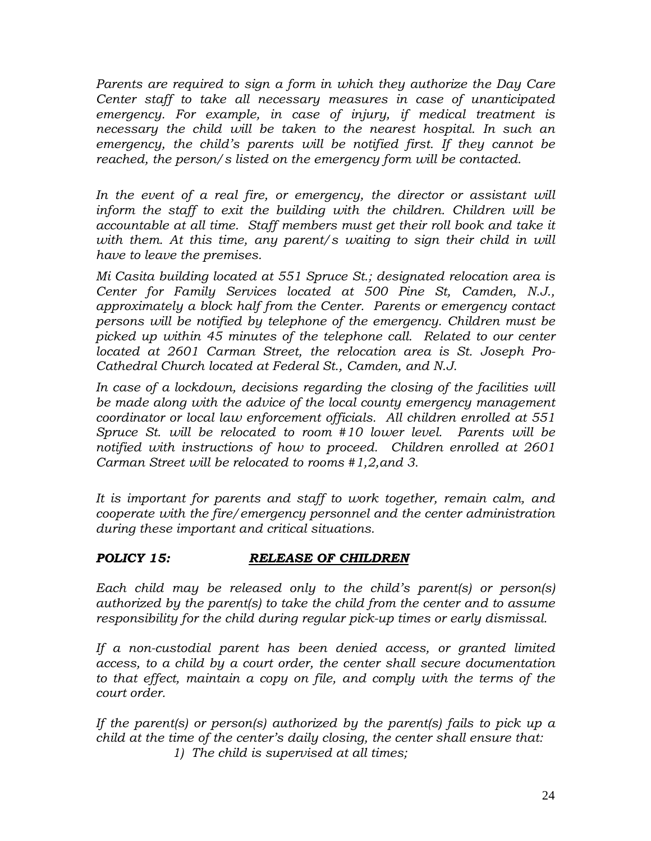*Parents are required to sign a form in which they authorize the Day Care Center staff to take all necessary measures in case of unanticipated emergency. For example, in case of injury, if medical treatment is necessary the child will be taken to the nearest hospital. In such an emergency, the child's parents will be notified first. If they cannot be reached, the person/s listed on the emergency form will be contacted.*

*In the event of a real fire, or emergency, the director or assistant will inform the staff to exit the building with the children. Children will be accountable at all time. Staff members must get their roll book and take it*  with them. At this time, any parent/s waiting to sign their child in will *have to leave the premises.* 

*Mi Casita building located at 551 Spruce St.; designated relocation area is Center for Family Services located at 500 Pine St, Camden, N.J., approximately a block half from the Center. Parents or emergency contact persons will be notified by telephone of the emergency. Children must be picked up within 45 minutes of the telephone call. Related to our center located at 2601 Carman Street, the relocation area is St. Joseph Pro-Cathedral Church located at Federal St., Camden, and N.J.*

In case of a lockdown, decisions regarding the closing of the facilities will *be made along with the advice of the local county emergency management coordinator or local law enforcement officials. All children enrolled at 551 Spruce St. will be relocated to room #10 lower level. Parents will be notified with instructions of how to proceed. Children enrolled at 2601 Carman Street will be relocated to rooms #1,2,and 3.*

*It is important for parents and staff to work together, remain calm, and cooperate with the fire/emergency personnel and the center administration during these important and critical situations.* 

# *POLICY 15: RELEASE OF CHILDREN*

*Each child may be released only to the child's parent(s) or person(s) authorized by the parent(s) to take the child from the center and to assume responsibility for the child during regular pick-up times or early dismissal.*

*If a non-custodial parent has been denied access, or granted limited access, to a child by a court order, the center shall secure documentation to that effect, maintain a copy on file, and comply with the terms of the court order.*

*If the parent(s) or person(s) authorized by the parent(s) fails to pick up a child at the time of the center's daily closing, the center shall ensure that: 1) The child is supervised at all times;*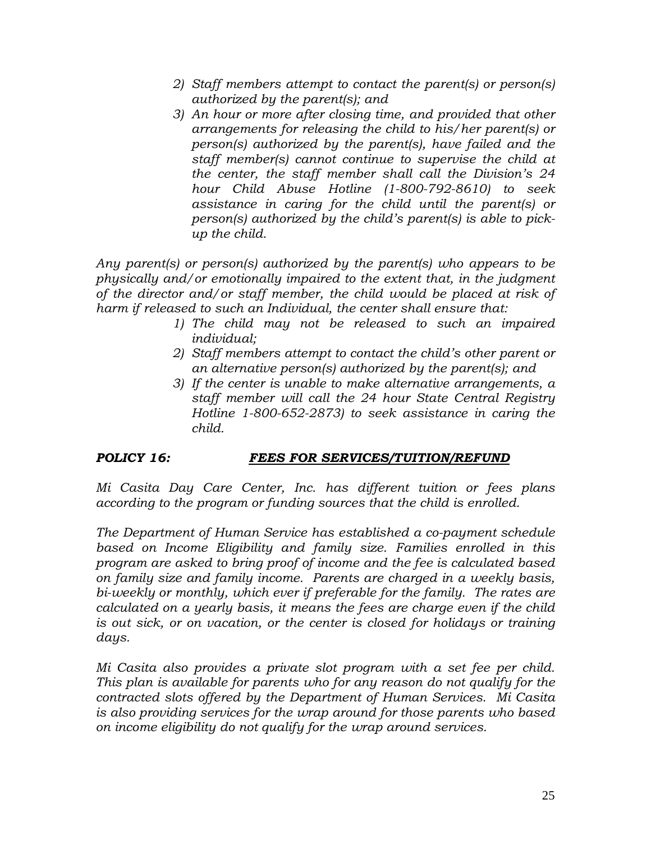- *2) Staff members attempt to contact the parent(s) or person(s) authorized by the parent(s); and*
- *3) An hour or more after closing time, and provided that other arrangements for releasing the child to his/her parent(s) or person(s) authorized by the parent(s), have failed and the staff member(s) cannot continue to supervise the child at the center, the staff member shall call the Division's 24 hour Child Abuse Hotline (1-800-792-8610) to seek assistance in caring for the child until the parent(s) or person(s) authorized by the child's parent(s) is able to pickup the child.*

*Any parent(s) or person(s) authorized by the parent(s) who appears to be physically and/or emotionally impaired to the extent that, in the judgment of the director and/or staff member, the child would be placed at risk of harm if released to such an Individual, the center shall ensure that:*

- *1) The child may not be released to such an impaired individual;*
- *2) Staff members attempt to contact the child's other parent or an alternative person(s) authorized by the parent(s); and*
- *3) If the center is unable to make alternative arrangements, a staff member will call the 24 hour State Central Registry Hotline 1-800-652-2873) to seek assistance in caring the child.*

# *POLICY 16: FEES FOR SERVICES/TUITION/REFUND*

*Mi Casita Day Care Center, Inc. has different tuition or fees plans according to the program or funding sources that the child is enrolled.* 

*The Department of Human Service has established a co-payment schedule based on Income Eligibility and family size. Families enrolled in this program are asked to bring proof of income and the fee is calculated based on family size and family income. Parents are charged in a weekly basis, bi-weekly or monthly, which ever if preferable for the family. The rates are calculated on a yearly basis, it means the fees are charge even if the child is out sick, or on vacation, or the center is closed for holidays or training days.*

*Mi Casita also provides a private slot program with a set fee per child. This plan is available for parents who for any reason do not qualify for the contracted slots offered by the Department of Human Services. Mi Casita is also providing services for the wrap around for those parents who based on income eligibility do not qualify for the wrap around services.*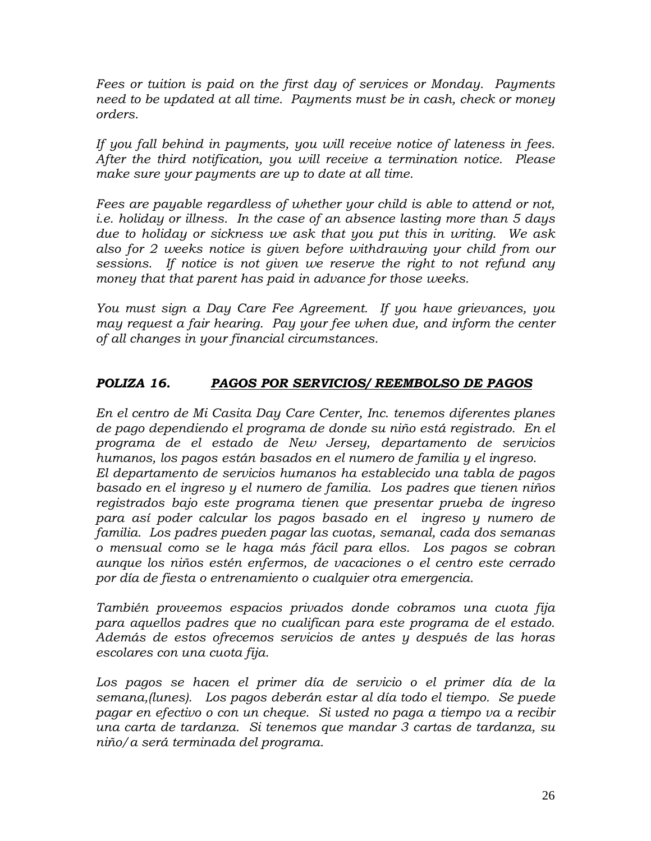*Fees or tuition is paid on the first day of services or Monday. Payments need to be updated at all time. Payments must be in cash, check or money orders.*

*If you fall behind in payments, you will receive notice of lateness in fees. After the third notification, you will receive a termination notice. Please make sure your payments are up to date at all time.* 

*Fees are payable regardless of whether your child is able to attend or not, i.e. holiday or illness. In the case of an absence lasting more than 5 days due to holiday or sickness we ask that you put this in writing. We ask also for 2 weeks notice is given before withdrawing your child from our sessions. If notice is not given we reserve the right to not refund any money that that parent has paid in advance for those weeks.*

*You must sign a Day Care Fee Agreement. If you have grievances, you may request a fair hearing. Pay your fee when due, and inform the center of all changes in your financial circumstances.*

# *POLIZA 16. PAGOS POR SERVICIOS/ REEMBOLSO DE PAGOS*

*En el centro de Mi Casita Day Care Center, Inc. tenemos diferentes planes de pago dependiendo el programa de donde su niño está registrado. En el programa de el estado de New Jersey, departamento de servicios humanos, los pagos están basados en el numero de familia y el ingreso. El departamento de servicios humanos ha establecido una tabla de pagos basado en el ingreso y el numero de familia. Los padres que tienen niños registrados bajo este programa tienen que presentar prueba de ingreso para así poder calcular los pagos basado en el ingreso y numero de familia. Los padres pueden pagar las cuotas, semanal, cada dos semanas o mensual como se le haga más fácil para ellos. Los pagos se cobran aunque los niños estén enfermos, de vacaciones o el centro este cerrado por día de fiesta o entrenamiento o cualquier otra emergencia.*

*También proveemos espacios privados donde cobramos una cuota fija para aquellos padres que no cualifican para este programa de el estado. Además de estos ofrecemos servicios de antes y después de las horas escolares con una cuota fija.*

*Los pagos se hacen el primer día de servicio o el primer día de la semana,(lunes). Los pagos deberán estar al día todo el tiempo. Se puede pagar en efectivo o con un cheque. Si usted no paga a tiempo va a recibir una carta de tardanza. Si tenemos que mandar 3 cartas de tardanza, su niño/a será terminada del programa.*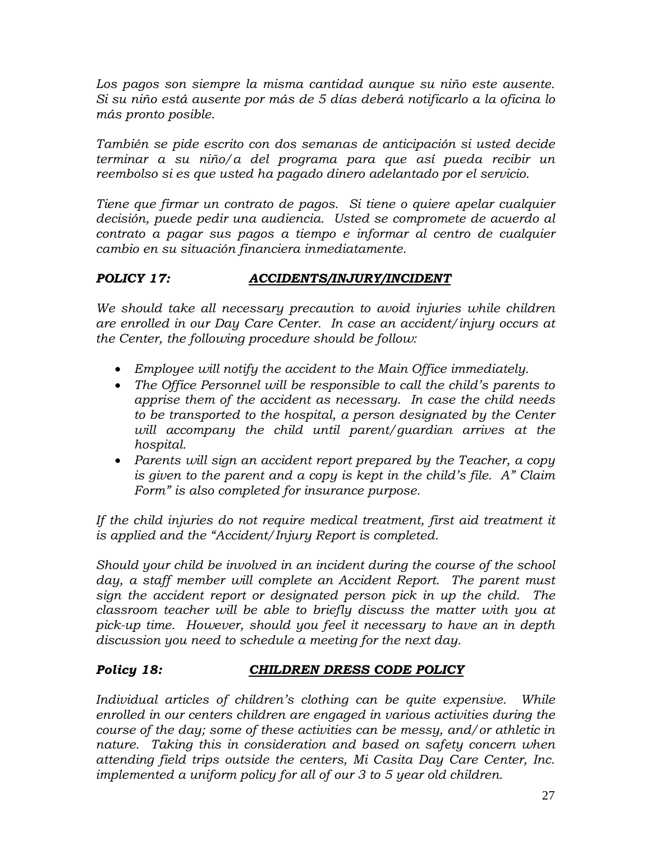*Los pagos son siempre la misma cantidad aunque su niño este ausente. Si su niño está ausente por más de 5 días deberá notificarlo a la oficina lo más pronto posible.* 

*También se pide escrito con dos semanas de anticipación si usted decide terminar a su niño/a del programa para que así pueda recibir un reembolso si es que usted ha pagado dinero adelantado por el servicio.* 

*Tiene que firmar un contrato de pagos. Si tiene o quiere apelar cualquier decisión, puede pedir una audiencia. Usted se compromete de acuerdo al contrato a pagar sus pagos a tiempo e informar al centro de cualquier cambio en su situación financiera inmediatamente.*

# *POLICY 17: ACCIDENTS/INJURY/INCIDENT*

*We should take all necessary precaution to avoid injuries while children are enrolled in our Day Care Center. In case an accident/injury occurs at the Center, the following procedure should be follow:*

- *Employee will notify the accident to the Main Office immediately.*
- *The Office Personnel will be responsible to call the child's parents to apprise them of the accident as necessary. In case the child needs to be transported to the hospital, a person designated by the Center will accompany the child until parent/guardian arrives at the hospital.*
- *Parents will sign an accident report prepared by the Teacher, a copy is given to the parent and a copy is kept in the child's file. A" Claim Form" is also completed for insurance purpose.*

If the child injuries do not require medical treatment, first aid treatment it *is applied and the "Accident/Injury Report is completed.*

*Should your child be involved in an incident during the course of the school day, a staff member will complete an Accident Report. The parent must sign the accident report or designated person pick in up the child. The classroom teacher will be able to briefly discuss the matter with you at pick-up time. However, should you feel it necessary to have an in depth discussion you need to schedule a meeting for the next day.*

## *Policy 18: CHILDREN DRESS CODE POLICY*

*Individual articles of children's clothing can be quite expensive. While enrolled in our centers children are engaged in various activities during the course of the day; some of these activities can be messy, and/or athletic in nature. Taking this in consideration and based on safety concern when attending field trips outside the centers, Mi Casita Day Care Center, Inc. implemented a uniform policy for all of our 3 to 5 year old children.*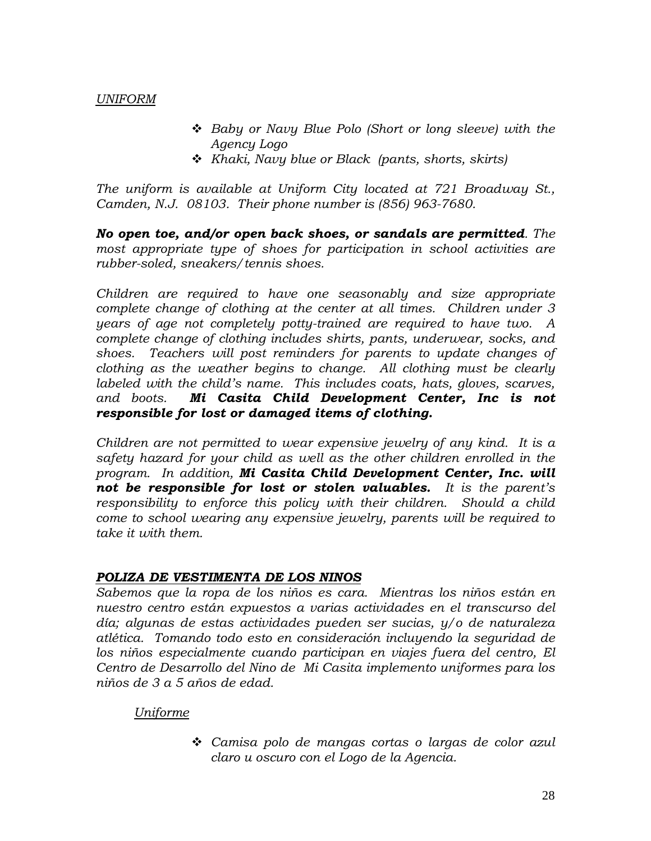## *UNIFORM*

- *Baby or Navy Blue Polo (Short or long sleeve) with the Agency Logo*
- *Khaki, Navy blue or Black (pants, shorts, skirts)*

*The uniform is available at Uniform City located at 721 Broadway St., Camden, N.J. 08103. Their phone number is (856) 963-7680.*

*No open toe, and/or open back shoes, or sandals are permitted. The most appropriate type of shoes for participation in school activities are rubber-soled, sneakers/tennis shoes.*

*Children are required to have one seasonably and size appropriate complete change of clothing at the center at all times. Children under 3 years of age not completely potty-trained are required to have two. A complete change of clothing includes shirts, pants, underwear, socks, and shoes. Teachers will post reminders for parents to update changes of clothing as the weather begins to change. All clothing must be clearly labeled with the child's name. This includes coats, hats, gloves, scarves, and boots. Mi Casita Child Development Center, Inc is not responsible for lost or damaged items of clothing.*

*Children are not permitted to wear expensive jewelry of any kind. It is a safety hazard for your child as well as the other children enrolled in the program. In addition, Mi Casita Child Development Center, Inc. will not be responsible for lost or stolen valuables. It is the parent's responsibility to enforce this policy with their children. Should a child come to school wearing any expensive jewelry, parents will be required to take it with them.* 

### *POLIZA DE VESTIMENTA DE LOS NINOS*

*Sabemos que la ropa de los niños es cara. Mientras los niños están en nuestro centro están expuestos a varias actividades en el transcurso del día; algunas de estas actividades pueden ser sucias, y/o de naturaleza atlética. Tomando todo esto en consideración incluyendo la seguridad de los niños especialmente cuando participan en viajes fuera del centro, El Centro de Desarrollo del Nino de Mi Casita implemento uniformes para los niños de 3 a 5 años de edad.*

## *Uniforme*

 *Camisa polo de mangas cortas o largas de color azul claro u oscuro con el Logo de la Agencia.*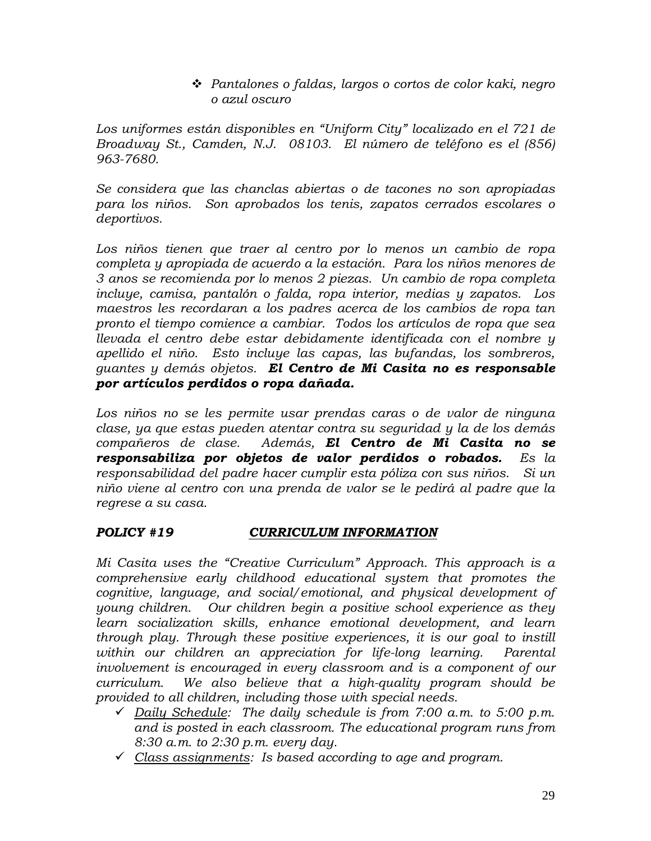*Pantalones o faldas, largos o cortos de color kaki, negro o azul oscuro*

*Los uniformes están disponibles en "Uniform City" localizado en el 721 de Broadway St., Camden, N.J. 08103. El número de teléfono es el (856) 963-7680.*

*Se considera que las chanclas abiertas o de tacones no son apropiadas para los niños. Son aprobados los tenis, zapatos cerrados escolares o deportivos.*

*Los niños tienen que traer al centro por lo menos un cambio de ropa completa y apropiada de acuerdo a la estación. Para los niños menores de 3 anos se recomienda por lo menos 2 piezas. Un cambio de ropa completa incluye, camisa, pantalón o falda, ropa interior, medias y zapatos. Los maestros les recordaran a los padres acerca de los cambios de ropa tan pronto el tiempo comience a cambiar. Todos los artículos de ropa que sea llevada el centro debe estar debidamente identificada con el nombre y apellido el niño. Esto incluye las capas, las bufandas, los sombreros, guantes y demás objetos. El Centro de Mi Casita no es responsable por artículos perdidos o ropa dañada.*

*Los niños no se les permite usar prendas caras o de valor de ninguna clase, ya que estas pueden atentar contra su seguridad y la de los demás compañeros de clase. Además, El Centro de Mi Casita no se responsabiliza por objetos de valor perdidos o robados. Es la responsabilidad del padre hacer cumplir esta póliza con sus niños. Si un niño viene al centro con una prenda de valor se le pedirá al padre que la regrese a su casa.* 

# *POLICY #19 CURRICULUM INFORMATION*

*Mi Casita uses the "Creative Curriculum" Approach. This approach is a comprehensive early childhood educational system that promotes the cognitive, language, and social/emotional, and physical development of young children. Our children begin a positive school experience as they learn socialization skills, enhance emotional development, and learn through play. Through these positive experiences, it is our goal to instill within our children an appreciation for life-long learning. Parental involvement is encouraged in every classroom and is a component of our curriculum. We also believe that a high-quality program should be provided to all children, including those with special needs.*

- *Daily Schedule: The daily schedule is from 7:00 a.m. to 5:00 p.m. and is posted in each classroom. The educational program runs from 8:30 a.m. to 2:30 p.m. every day.*
- *Class assignments: Is based according to age and program.*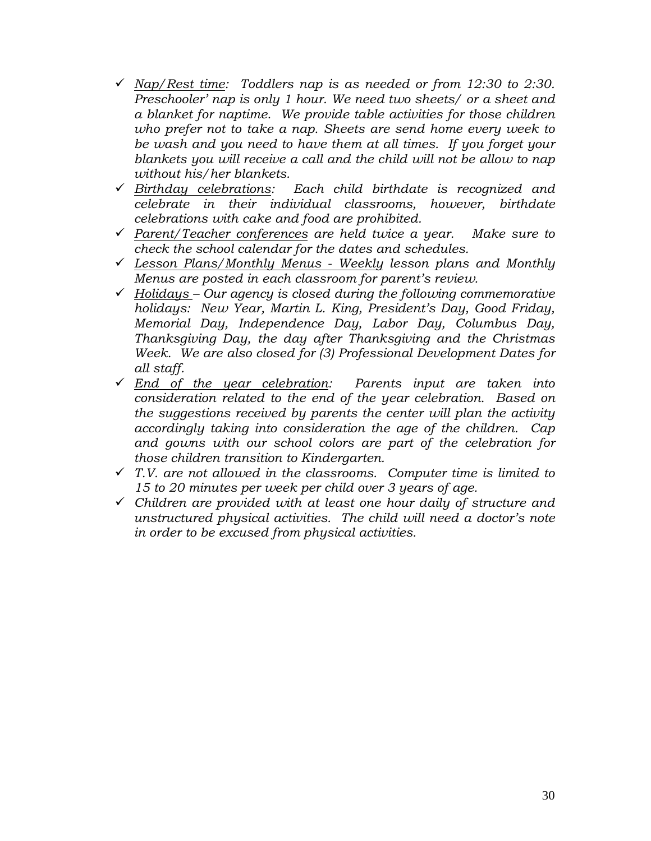- *Nap/Rest time: Toddlers nap is as needed or from 12:30 to 2:30. Preschooler' nap is only 1 hour. We need two sheets/ or a sheet and a blanket for naptime. We provide table activities for those children who prefer not to take a nap. Sheets are send home every week to be wash and you need to have them at all times. If you forget your blankets you will receive a call and the child will not be allow to nap without his/her blankets.*
- *Birthday celebrations: Each child birthdate is recognized and celebrate in their individual classrooms, however, birthdate celebrations with cake and food are prohibited.*
- *Parent/Teacher conferences are held twice a year. Make sure to check the school calendar for the dates and schedules.*
- *Lesson Plans/Monthly Menus - Weekly lesson plans and Monthly Menus are posted in each classroom for parent's review.*
- *Holidays – Our agency is closed during the following commemorative holidays: New Year, Martin L. King, President's Day, Good Friday, Memorial Day, Independence Day, Labor Day, Columbus Day, Thanksgiving Day, the day after Thanksgiving and the Christmas Week. We are also closed for (3) Professional Development Dates for all staff.*
- *End of the year celebration: Parents input are taken into consideration related to the end of the year celebration. Based on the suggestions received by parents the center will plan the activity accordingly taking into consideration the age of the children. Cap and gowns with our school colors are part of the celebration for those children transition to Kindergarten.*
- *T.V. are not allowed in the classrooms. Computer time is limited to 15 to 20 minutes per week per child over 3 years of age.*
- *Children are provided with at least one hour daily of structure and unstructured physical activities. The child will need a doctor's note in order to be excused from physical activities.*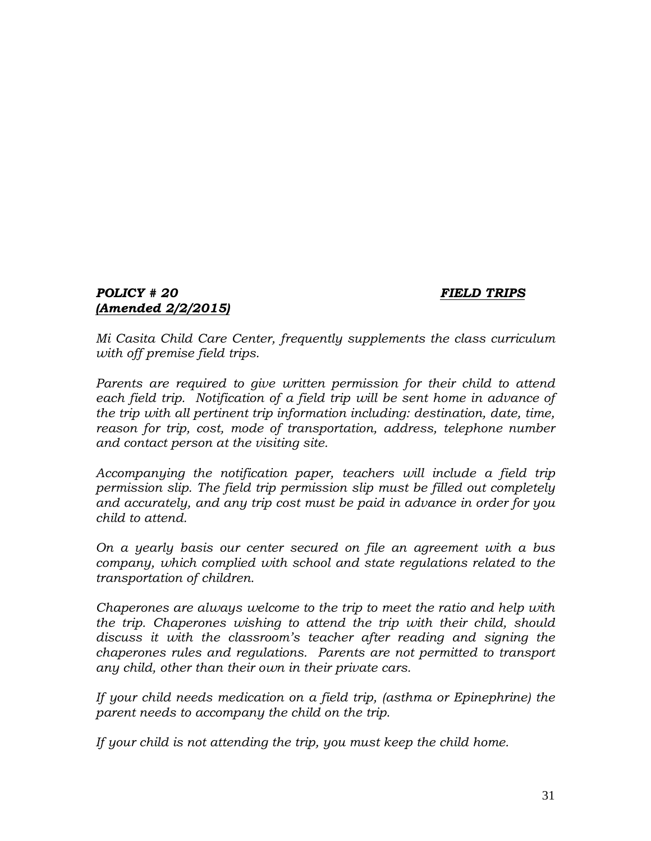### *POLICY # 20 FIELD TRIPS (Amended 2/2/2015)*

*Mi Casita Child Care Center, frequently supplements the class curriculum with off premise field trips.* 

*Parents are required to give written permission for their child to attend each field trip. Notification of a field trip will be sent home in advance of the trip with all pertinent trip information including: destination, date, time, reason for trip, cost, mode of transportation, address, telephone number and contact person at the visiting site.*

*Accompanying the notification paper, teachers will include a field trip permission slip. The field trip permission slip must be filled out completely and accurately, and any trip cost must be paid in advance in order for you child to attend.*

*On a yearly basis our center secured on file an agreement with a bus company, which complied with school and state regulations related to the transportation of children.*

*Chaperones are always welcome to the trip to meet the ratio and help with the trip. Chaperones wishing to attend the trip with their child, should discuss it with the classroom's teacher after reading and signing the chaperones rules and regulations. Parents are not permitted to transport any child, other than their own in their private cars.*

*If your child needs medication on a field trip, (asthma or Epinephrine) the parent needs to accompany the child on the trip.* 

*If your child is not attending the trip, you must keep the child home.*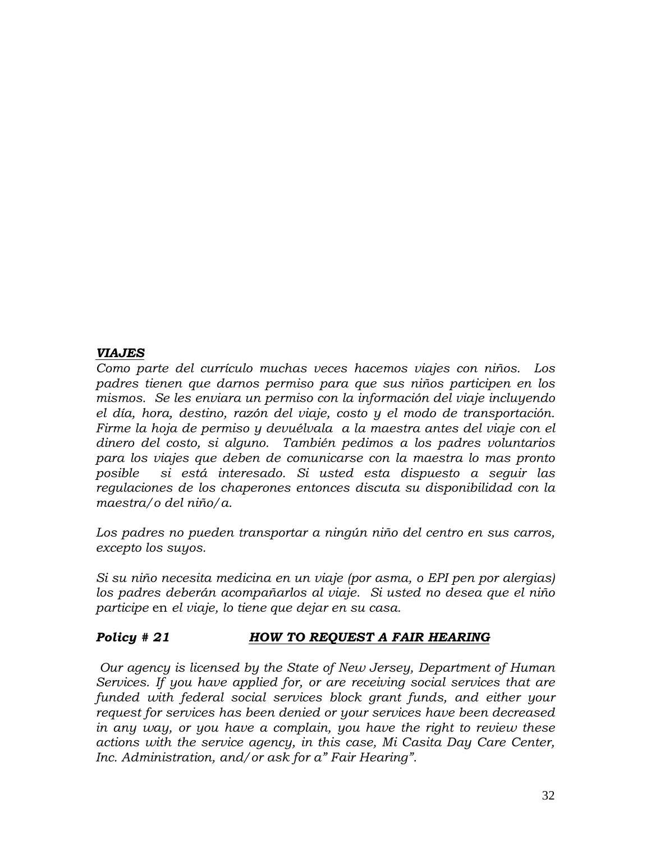## *VIAJES*

*Como parte del currículo muchas veces hacemos viajes con niños. Los padres tienen que darnos permiso para que sus niños participen en los mismos. Se les enviara un permiso con la información del viaje incluyendo el día, hora, destino, razón del viaje, costo y el modo de transportación. Firme la hoja de permiso y devuélvala a la maestra antes del viaje con el dinero del costo, si alguno. También pedimos a los padres voluntarios para los viajes que deben de comunicarse con la maestra lo mas pronto posible si está interesado. Si usted esta dispuesto a seguir las regulaciones de los chaperones entonces discuta su disponibilidad con la maestra/o del niño/a.* 

*Los padres no pueden transportar a ningún niño del centro en sus carros, excepto los suyos.* 

*Si su niño necesita medicina en un viaje (por asma, o EPI pen por alergias) los padres deberán acompañarlos al viaje. Si usted no desea que el niño participe* en *el viaje, lo tiene que dejar en su casa.* 

## *Policy # 21 HOW TO REQUEST A FAIR HEARING*

*Our agency is licensed by the State of New Jersey, Department of Human Services. If you have applied for, or are receiving social services that are funded with federal social services block grant funds, and either your request for services has been denied or your services have been decreased in any way, or you have a complain, you have the right to review these actions with the service agency, in this case, Mi Casita Day Care Center, Inc. Administration, and/or ask for a" Fair Hearing".*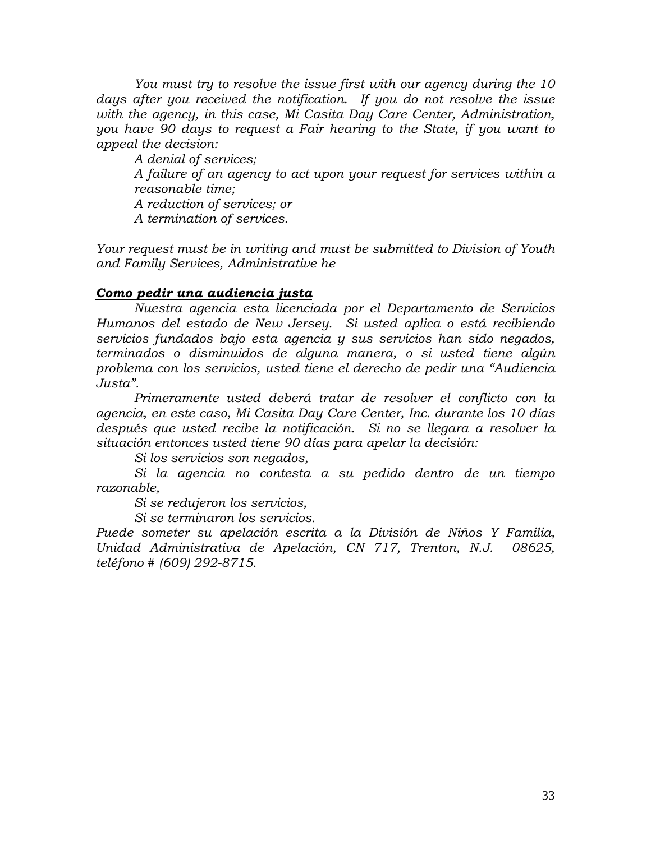*You must try to resolve the issue first with our agency during the 10 days after you received the notification. If you do not resolve the issue with the agency, in this case, Mi Casita Day Care Center, Administration, you have 90 days to request a Fair hearing to the State, if you want to appeal the decision:*

*A denial of services; A failure of an agency to act upon your request for services within a reasonable time; A reduction of services; or A termination of services.*

*Your request must be in writing and must be submitted to Division of Youth and Family Services, Administrative he*

### *Como pedir una audiencia justa*

*Nuestra agencia esta licenciada por el Departamento de Servicios Humanos del estado de New Jersey. Si usted aplica o está recibiendo servicios fundados bajo esta agencia y sus servicios han sido negados, terminados o disminuidos de alguna manera, o si usted tiene algún problema con los servicios, usted tiene el derecho de pedir una "Audiencia Justa".* 

*Primeramente usted deberá tratar de resolver el conflicto con la agencia, en este caso, Mi Casita Day Care Center, Inc. durante los 10 días después que usted recibe la notificación. Si no se llegara a resolver la situación entonces usted tiene 90 días para apelar la decisión:*

*Si los servicios son negados,*

*Si la agencia no contesta a su pedido dentro de un tiempo razonable,*

*Si se redujeron los servicios,*

*Si se terminaron los servicios.*

*Puede someter su apelación escrita a la División de Niños Y Familia, Unidad Administrativa de Apelación, CN 717, Trenton, N.J. 08625, teléfono # (609) 292-8715.*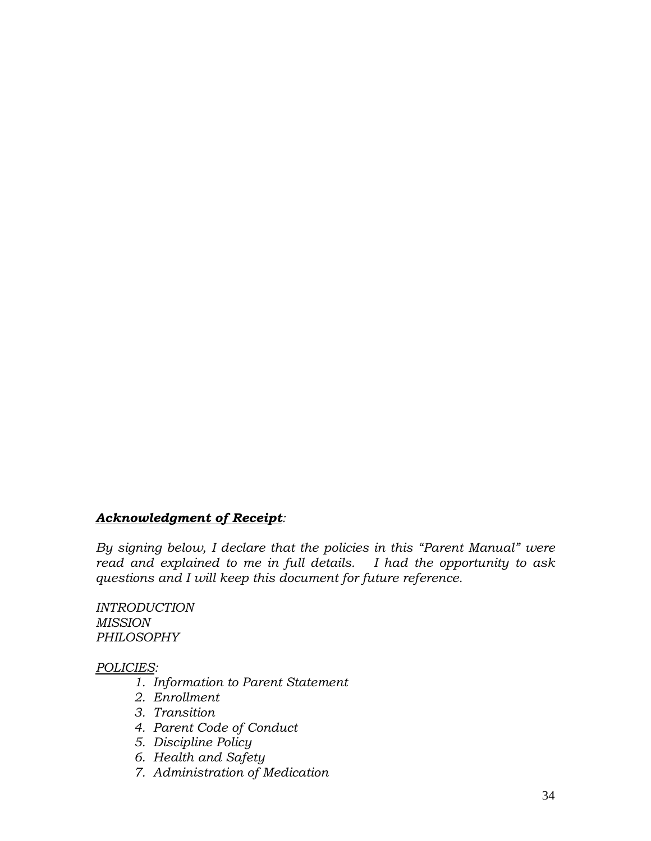### *Acknowledgment of Receipt:*

*By signing below, I declare that the policies in this "Parent Manual" were read and explained to me in full details. I had the opportunity to ask questions and I will keep this document for future reference.*

*INTRODUCTION MISSION PHILOSOPHY*

#### *POLICIES:*

- *1. Information to Parent Statement*
- *2. Enrollment*
- *3. Transition*
- *4. Parent Code of Conduct*
- *5. Discipline Policy*
- *6. Health and Safety*
- *7. Administration of Medication*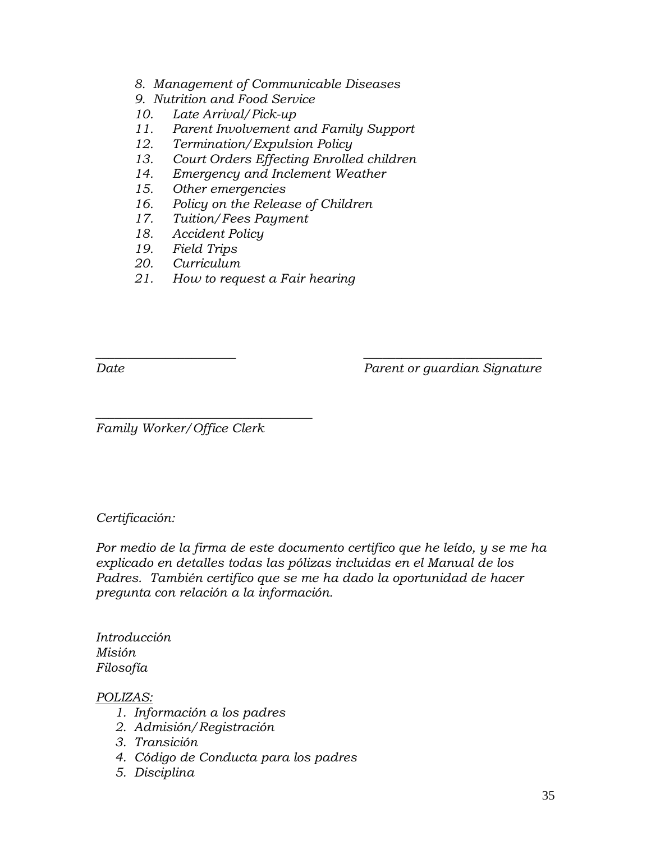- *8. Management of Communicable Diseases*
- *9. Nutrition and Food Service*
- *10. Late Arrival/Pick-up*
- *11. Parent Involvement and Family Support*
- *12. Termination/Expulsion Policy*
- *13. Court Orders Effecting Enrolled children*
- *14. Emergency and Inclement Weather*
- *15. Other emergencies*
- *16. Policy on the Release of Children*
- *17. Tuition/Fees Payment*
- *18. Accident Policy*
- *19. Field Trips*
- *20. Curriculum*
- *21. How to request a Fair hearing*

*Date Parent or guardian Signature*

*Family Worker/Office Clerk*

*\_\_\_\_\_\_\_\_\_\_\_\_\_\_\_\_\_\_\_\_\_\_\_\_\_\_\_\_\_\_\_\_\_\_*

### *Certificación:*

*Por medio de la firma de este documento certifico que he leído, y se me ha explicado en detalles todas las pólizas incluidas en el Manual de los Padres. También certifico que se me ha dado la oportunidad de hacer pregunta con relación a la información.* 

*\_\_\_\_\_\_\_\_\_\_\_\_\_\_\_\_\_\_\_\_\_\_ \_\_\_\_\_\_\_\_\_\_\_\_\_\_\_\_\_\_\_\_\_\_\_\_\_\_\_\_*

*Introducción Misión Filosofía*

### *POLIZAS:*

- *1. Información a los padres*
- *2. Admisión/Registración*
- *3. Transición*
- *4. Código de Conducta para los padres*
- *5. Disciplina*